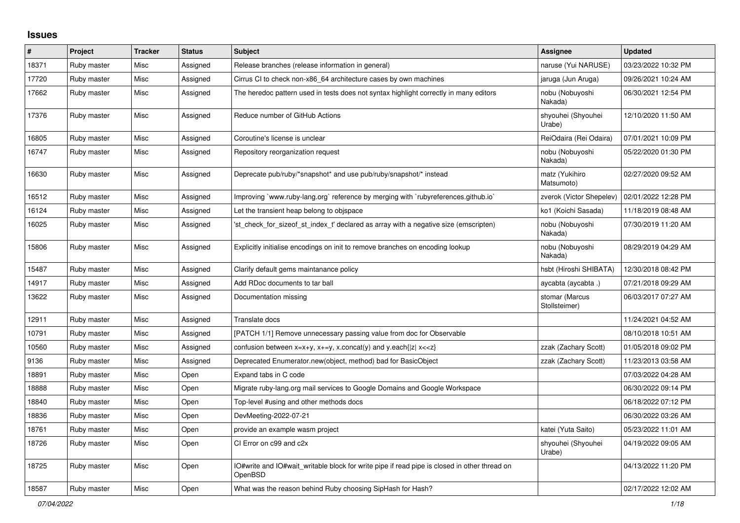## **Issues**

| $\vert$ # | Project     | <b>Tracker</b> | <b>Status</b> | <b>Subject</b>                                                                                          | <b>Assignee</b>                 | <b>Updated</b>      |
|-----------|-------------|----------------|---------------|---------------------------------------------------------------------------------------------------------|---------------------------------|---------------------|
| 18371     | Ruby master | Misc           | Assigned      | Release branches (release information in general)                                                       | naruse (Yui NARUSE)             | 03/23/2022 10:32 PM |
| 17720     | Ruby master | Misc           | Assigned      | Cirrus CI to check non-x86_64 architecture cases by own machines                                        | jaruga (Jun Aruga)              | 09/26/2021 10:24 AM |
| 17662     | Ruby master | Misc           | Assigned      | The heredoc pattern used in tests does not syntax highlight correctly in many editors                   | nobu (Nobuyoshi<br>Nakada)      | 06/30/2021 12:54 PM |
| 17376     | Ruby master | Misc           | Assigned      | Reduce number of GitHub Actions                                                                         | shyouhei (Shyouhei<br>Urabe)    | 12/10/2020 11:50 AM |
| 16805     | Ruby master | Misc           | Assigned      | Coroutine's license is unclear                                                                          | ReiOdaira (Rei Odaira)          | 07/01/2021 10:09 PM |
| 16747     | Ruby master | Misc           | Assigned      | Repository reorganization request                                                                       | nobu (Nobuyoshi<br>Nakada)      | 05/22/2020 01:30 PM |
| 16630     | Ruby master | Misc           | Assigned      | Deprecate pub/ruby/*snapshot* and use pub/ruby/snapshot/* instead                                       | matz (Yukihiro<br>Matsumoto)    | 02/27/2020 09:52 AM |
| 16512     | Ruby master | Misc           | Assigned      | Improving `www.ruby-lang.org` reference by merging with `rubyreferences.github.io`                      | zverok (Victor Shepelev)        | 02/01/2022 12:28 PM |
| 16124     | Ruby master | Misc           | Assigned      | Let the transient heap belong to objspace                                                               | ko1 (Koichi Sasada)             | 11/18/2019 08:48 AM |
| 16025     | Ruby master | Misc           | Assigned      | 'st_check_for_sizeof_st_index_t' declared as array with a negative size (emscripten)                    | nobu (Nobuyoshi<br>Nakada)      | 07/30/2019 11:20 AM |
| 15806     | Ruby master | Misc           | Assigned      | Explicitly initialise encodings on init to remove branches on encoding lookup                           | nobu (Nobuyoshi<br>Nakada)      | 08/29/2019 04:29 AM |
| 15487     | Ruby master | Misc           | Assigned      | Clarify default gems maintanance policy                                                                 | hsbt (Hiroshi SHIBATA)          | 12/30/2018 08:42 PM |
| 14917     | Ruby master | Misc           | Assigned      | Add RDoc documents to tar ball                                                                          | aycabta (aycabta.)              | 07/21/2018 09:29 AM |
| 13622     | Ruby master | Misc           | Assigned      | Documentation missing                                                                                   | stomar (Marcus<br>Stollsteimer) | 06/03/2017 07:27 AM |
| 12911     | Ruby master | Misc           | Assigned      | Translate docs                                                                                          |                                 | 11/24/2021 04:52 AM |
| 10791     | Ruby master | Misc           | Assigned      | [PATCH 1/1] Remove unnecessary passing value from doc for Observable                                    |                                 | 08/10/2018 10:51 AM |
| 10560     | Ruby master | Misc           | Assigned      | confusion between $x=x+y$ , $x+=y$ , x.concat(y) and y.each{ z  $x<}$                                   | zzak (Zachary Scott)            | 01/05/2018 09:02 PM |
| 9136      | Ruby master | Misc           | Assigned      | Deprecated Enumerator.new(object, method) bad for BasicObject                                           | zzak (Zachary Scott)            | 11/23/2013 03:58 AM |
| 18891     | Ruby master | Misc           | Open          | Expand tabs in C code                                                                                   |                                 | 07/03/2022 04:28 AM |
| 18888     | Ruby master | Misc           | Open          | Migrate ruby-lang.org mail services to Google Domains and Google Workspace                              |                                 | 06/30/2022 09:14 PM |
| 18840     | Ruby master | Misc           | Open          | Top-level #using and other methods docs                                                                 |                                 | 06/18/2022 07:12 PM |
| 18836     | Ruby master | Misc           | Open          | DevMeeting-2022-07-21                                                                                   |                                 | 06/30/2022 03:26 AM |
| 18761     | Ruby master | Misc           | Open          | provide an example wasm project                                                                         | katei (Yuta Saito)              | 05/23/2022 11:01 AM |
| 18726     | Ruby master | Misc           | Open          | CI Error on c99 and c2x                                                                                 | shyouhei (Shyouhei<br>Urabe)    | 04/19/2022 09:05 AM |
| 18725     | Ruby master | Misc           | Open          | IO#write and IO#wait writable block for write pipe if read pipe is closed in other thread on<br>OpenBSD |                                 | 04/13/2022 11:20 PM |
| 18587     | Ruby master | Misc           | Open          | What was the reason behind Ruby choosing SipHash for Hash?                                              |                                 | 02/17/2022 12:02 AM |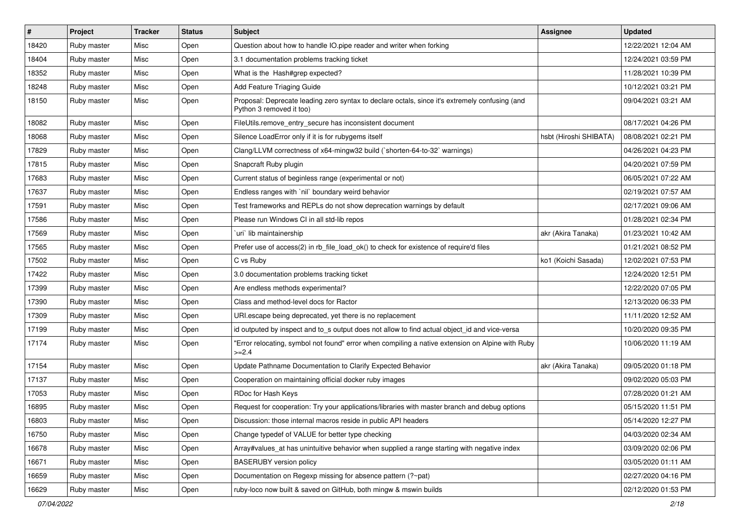| $\vert$ # | Project     | Tracker | <b>Status</b> | Subject                                                                                                                    | Assignee               | <b>Updated</b>      |
|-----------|-------------|---------|---------------|----------------------------------------------------------------------------------------------------------------------------|------------------------|---------------------|
| 18420     | Ruby master | Misc    | Open          | Question about how to handle IO.pipe reader and writer when forking                                                        |                        | 12/22/2021 12:04 AM |
| 18404     | Ruby master | Misc    | Open          | 3.1 documentation problems tracking ticket                                                                                 |                        | 12/24/2021 03:59 PM |
| 18352     | Ruby master | Misc    | Open          | What is the Hash#grep expected?                                                                                            |                        | 11/28/2021 10:39 PM |
| 18248     | Ruby master | Misc    | Open          | Add Feature Triaging Guide                                                                                                 |                        | 10/12/2021 03:21 PM |
| 18150     | Ruby master | Misc    | Open          | Proposal: Deprecate leading zero syntax to declare octals, since it's extremely confusing (and<br>Python 3 removed it too) |                        | 09/04/2021 03:21 AM |
| 18082     | Ruby master | Misc    | Open          | FileUtils.remove_entry_secure has inconsistent document                                                                    |                        | 08/17/2021 04:26 PM |
| 18068     | Ruby master | Misc    | Open          | Silence LoadError only if it is for rubygems itself                                                                        | hsbt (Hiroshi SHIBATA) | 08/08/2021 02:21 PM |
| 17829     | Ruby master | Misc    | Open          | Clang/LLVM correctness of x64-mingw32 build (`shorten-64-to-32` warnings)                                                  |                        | 04/26/2021 04:23 PM |
| 17815     | Ruby master | Misc    | Open          | Snapcraft Ruby plugin                                                                                                      |                        | 04/20/2021 07:59 PM |
| 17683     | Ruby master | Misc    | Open          | Current status of beginless range (experimental or not)                                                                    |                        | 06/05/2021 07:22 AM |
| 17637     | Ruby master | Misc    | Open          | Endless ranges with `nil` boundary weird behavior                                                                          |                        | 02/19/2021 07:57 AM |
| 17591     | Ruby master | Misc    | Open          | Test frameworks and REPLs do not show deprecation warnings by default                                                      |                        | 02/17/2021 09:06 AM |
| 17586     | Ruby master | Misc    | Open          | Please run Windows CI in all std-lib repos                                                                                 |                        | 01/28/2021 02:34 PM |
| 17569     | Ruby master | Misc    | Open          | 'uri' lib maintainership                                                                                                   | akr (Akira Tanaka)     | 01/23/2021 10:42 AM |
| 17565     | Ruby master | Misc    | Open          | Prefer use of access(2) in rb_file_load_ok() to check for existence of require'd files                                     |                        | 01/21/2021 08:52 PM |
| 17502     | Ruby master | Misc    | Open          | C vs Ruby                                                                                                                  | ko1 (Koichi Sasada)    | 12/02/2021 07:53 PM |
| 17422     | Ruby master | Misc    | Open          | 3.0 documentation problems tracking ticket                                                                                 |                        | 12/24/2020 12:51 PM |
| 17399     | Ruby master | Misc    | Open          | Are endless methods experimental?                                                                                          |                        | 12/22/2020 07:05 PM |
| 17390     | Ruby master | Misc    | Open          | Class and method-level docs for Ractor                                                                                     |                        | 12/13/2020 06:33 PM |
| 17309     | Ruby master | Misc    | Open          | URI.escape being deprecated, yet there is no replacement                                                                   |                        | 11/11/2020 12:52 AM |
| 17199     | Ruby master | Misc    | Open          | id outputed by inspect and to_s output does not allow to find actual object_id and vice-versa                              |                        | 10/20/2020 09:35 PM |
| 17174     | Ruby master | Misc    | Open          | "Error relocating, symbol not found" error when compiling a native extension on Alpine with Ruby<br>$>=2.4$                |                        | 10/06/2020 11:19 AM |
| 17154     | Ruby master | Misc    | Open          | Update Pathname Documentation to Clarify Expected Behavior                                                                 | akr (Akira Tanaka)     | 09/05/2020 01:18 PM |
| 17137     | Ruby master | Misc    | Open          | Cooperation on maintaining official docker ruby images                                                                     |                        | 09/02/2020 05:03 PM |
| 17053     | Ruby master | Misc    | Open          | RDoc for Hash Keys                                                                                                         |                        | 07/28/2020 01:21 AM |
| 16895     | Ruby master | Misc    | Open          | Request for cooperation: Try your applications/libraries with master branch and debug options                              |                        | 05/15/2020 11:51 PM |
| 16803     | Ruby master | Misc    | Open          | Discussion: those internal macros reside in public API headers                                                             |                        | 05/14/2020 12:27 PM |
| 16750     | Ruby master | Misc    | Open          | Change typedef of VALUE for better type checking                                                                           |                        | 04/03/2020 02:34 AM |
| 16678     | Ruby master | Misc    | Open          | Array#values_at has unintuitive behavior when supplied a range starting with negative index                                |                        | 03/09/2020 02:06 PM |
| 16671     | Ruby master | Misc    | Open          | <b>BASERUBY</b> version policy                                                                                             |                        | 03/05/2020 01:11 AM |
| 16659     | Ruby master | Misc    | Open          | Documentation on Regexp missing for absence pattern (?~pat)                                                                |                        | 02/27/2020 04:16 PM |
| 16629     | Ruby master | Misc    | Open          | ruby-loco now built & saved on GitHub, both mingw & mswin builds                                                           |                        | 02/12/2020 01:53 PM |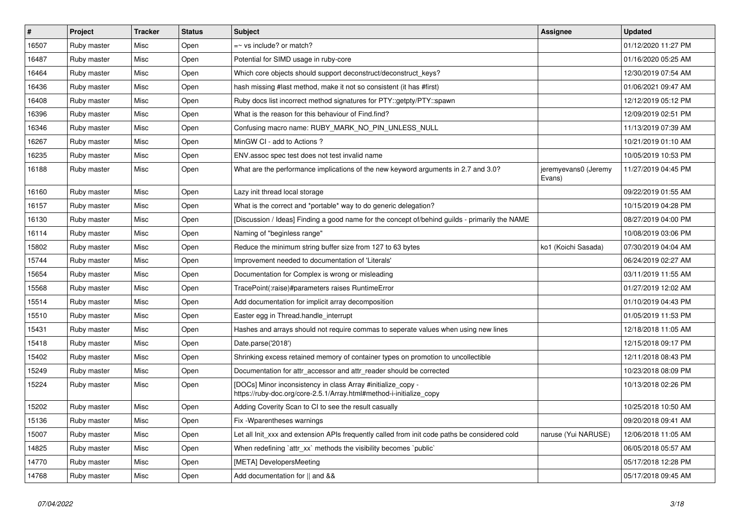| $\vert$ # | Project     | <b>Tracker</b> | <b>Status</b> | <b>Subject</b>                                                                                                                      | <b>Assignee</b>                | <b>Updated</b>      |
|-----------|-------------|----------------|---------------|-------------------------------------------------------------------------------------------------------------------------------------|--------------------------------|---------------------|
| 16507     | Ruby master | Misc           | Open          | $=$ vs include? or match?                                                                                                           |                                | 01/12/2020 11:27 PM |
| 16487     | Ruby master | Misc           | Open          | Potential for SIMD usage in ruby-core                                                                                               |                                | 01/16/2020 05:25 AM |
| 16464     | Ruby master | Misc           | Open          | Which core objects should support deconstruct/deconstruct_keys?                                                                     |                                | 12/30/2019 07:54 AM |
| 16436     | Ruby master | Misc           | Open          | hash missing #last method, make it not so consistent (it has #first)                                                                |                                | 01/06/2021 09:47 AM |
| 16408     | Ruby master | Misc           | Open          | Ruby docs list incorrect method signatures for PTY::getpty/PTY::spawn                                                               |                                | 12/12/2019 05:12 PM |
| 16396     | Ruby master | Misc           | Open          | What is the reason for this behaviour of Find.find?                                                                                 |                                | 12/09/2019 02:51 PM |
| 16346     | Ruby master | Misc           | Open          | Confusing macro name: RUBY_MARK_NO_PIN_UNLESS_NULL                                                                                  |                                | 11/13/2019 07:39 AM |
| 16267     | Ruby master | Misc           | Open          | MinGW CI - add to Actions ?                                                                                                         |                                | 10/21/2019 01:10 AM |
| 16235     | Ruby master | Misc           | Open          | ENV assoc spec test does not test invalid name                                                                                      |                                | 10/05/2019 10:53 PM |
| 16188     | Ruby master | Misc           | Open          | What are the performance implications of the new keyword arguments in 2.7 and 3.0?                                                  | jeremyevans0 (Jeremy<br>Evans) | 11/27/2019 04:45 PM |
| 16160     | Ruby master | Misc           | Open          | Lazy init thread local storage                                                                                                      |                                | 09/22/2019 01:55 AM |
| 16157     | Ruby master | Misc           | Open          | What is the correct and *portable* way to do generic delegation?                                                                    |                                | 10/15/2019 04:28 PM |
| 16130     | Ruby master | Misc           | Open          | [Discussion / Ideas] Finding a good name for the concept of/behind guilds - primarily the NAME                                      |                                | 08/27/2019 04:00 PM |
| 16114     | Ruby master | Misc           | Open          | Naming of "beginless range"                                                                                                         |                                | 10/08/2019 03:06 PM |
| 15802     | Ruby master | Misc           | Open          | Reduce the minimum string buffer size from 127 to 63 bytes                                                                          | ko1 (Koichi Sasada)            | 07/30/2019 04:04 AM |
| 15744     | Ruby master | Misc           | Open          | Improvement needed to documentation of 'Literals'                                                                                   |                                | 06/24/2019 02:27 AM |
| 15654     | Ruby master | Misc           | Open          | Documentation for Complex is wrong or misleading                                                                                    |                                | 03/11/2019 11:55 AM |
| 15568     | Ruby master | Misc           | Open          | TracePoint(:raise)#parameters raises RuntimeError                                                                                   |                                | 01/27/2019 12:02 AM |
| 15514     | Ruby master | Misc           | Open          | Add documentation for implicit array decomposition                                                                                  |                                | 01/10/2019 04:43 PM |
| 15510     | Ruby master | Misc           | Open          | Easter egg in Thread.handle_interrupt                                                                                               |                                | 01/05/2019 11:53 PM |
| 15431     | Ruby master | Misc           | Open          | Hashes and arrays should not require commas to seperate values when using new lines                                                 |                                | 12/18/2018 11:05 AM |
| 15418     | Ruby master | Misc           | Open          | Date.parse('2018')                                                                                                                  |                                | 12/15/2018 09:17 PM |
| 15402     | Ruby master | Misc           | Open          | Shrinking excess retained memory of container types on promotion to uncollectible                                                   |                                | 12/11/2018 08:43 PM |
| 15249     | Ruby master | Misc           | Open          | Documentation for attr_accessor and attr_reader should be corrected                                                                 |                                | 10/23/2018 08:09 PM |
| 15224     | Ruby master | Misc           | Open          | [DOCs] Minor inconsistency in class Array #initialize_copy -<br>https://ruby-doc.org/core-2.5.1/Array.html#method-i-initialize copy |                                | 10/13/2018 02:26 PM |
| 15202     | Ruby master | Misc           | Open          | Adding Coverity Scan to CI to see the result casually                                                                               |                                | 10/25/2018 10:50 AM |
| 15136     | Ruby master | Misc           | Open          | Fix - Wparentheses warnings                                                                                                         |                                | 09/20/2018 09:41 AM |
| 15007     | Ruby master | Misc           | Open          | Let all Init xxx and extension APIs frequently called from init code paths be considered cold                                       | naruse (Yui NARUSE)            | 12/06/2018 11:05 AM |
| 14825     | Ruby master | Misc           | Open          | When redefining `attr_xx` methods the visibility becomes `public`                                                                   |                                | 06/05/2018 05:57 AM |
| 14770     | Ruby master | Misc           | Open          | [META] DevelopersMeeting                                                                                                            |                                | 05/17/2018 12:28 PM |
| 14768     | Ruby master | Misc           | Open          | Add documentation for II and &&                                                                                                     |                                | 05/17/2018 09:45 AM |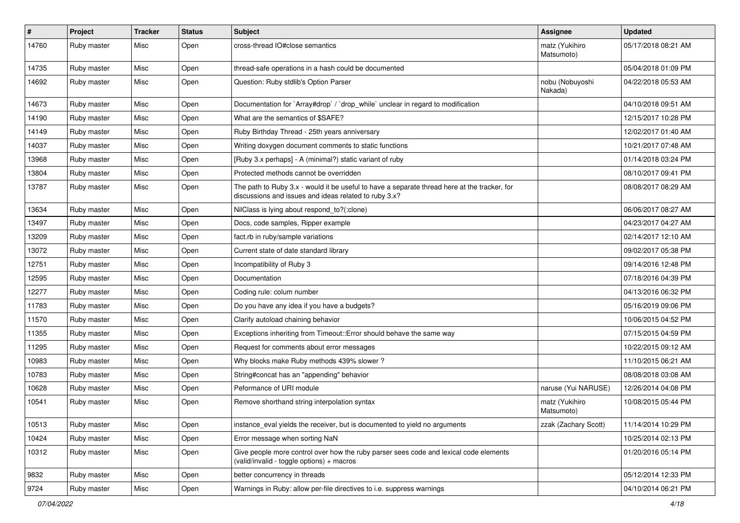| $\sharp$ | Project     | <b>Tracker</b> | <b>Status</b> | <b>Subject</b>                                                                                                                                        | Assignee                     | <b>Updated</b>      |
|----------|-------------|----------------|---------------|-------------------------------------------------------------------------------------------------------------------------------------------------------|------------------------------|---------------------|
| 14760    | Ruby master | Misc           | Open          | cross-thread IO#close semantics                                                                                                                       | matz (Yukihiro<br>Matsumoto) | 05/17/2018 08:21 AM |
| 14735    | Ruby master | Misc           | Open          | thread-safe operations in a hash could be documented                                                                                                  |                              | 05/04/2018 01:09 PM |
| 14692    | Ruby master | Misc           | Open          | Question: Ruby stdlib's Option Parser                                                                                                                 | nobu (Nobuyoshi<br>Nakada)   | 04/22/2018 05:53 AM |
| 14673    | Ruby master | Misc           | Open          | Documentation for `Array#drop` / `drop_while` unclear in regard to modification                                                                       |                              | 04/10/2018 09:51 AM |
| 14190    | Ruby master | Misc           | Open          | What are the semantics of \$SAFE?                                                                                                                     |                              | 12/15/2017 10:28 PM |
| 14149    | Ruby master | Misc           | Open          | Ruby Birthday Thread - 25th years anniversary                                                                                                         |                              | 12/02/2017 01:40 AM |
| 14037    | Ruby master | Misc           | Open          | Writing doxygen document comments to static functions                                                                                                 |                              | 10/21/2017 07:48 AM |
| 13968    | Ruby master | Misc           | Open          | [Ruby 3.x perhaps] - A (minimal?) static variant of ruby                                                                                              |                              | 01/14/2018 03:24 PM |
| 13804    | Ruby master | Misc           | Open          | Protected methods cannot be overridden                                                                                                                |                              | 08/10/2017 09:41 PM |
| 13787    | Ruby master | Misc           | Open          | The path to Ruby 3.x - would it be useful to have a separate thread here at the tracker, for<br>discussions and issues and ideas related to ruby 3.x? |                              | 08/08/2017 08:29 AM |
| 13634    | Ruby master | Misc           | Open          | NilClass is lying about respond_to?(:clone)                                                                                                           |                              | 06/06/2017 08:27 AM |
| 13497    | Ruby master | Misc           | Open          | Docs, code samples, Ripper example                                                                                                                    |                              | 04/23/2017 04:27 AM |
| 13209    | Ruby master | Misc           | Open          | fact.rb in ruby/sample variations                                                                                                                     |                              | 02/14/2017 12:10 AM |
| 13072    | Ruby master | Misc           | Open          | Current state of date standard library                                                                                                                |                              | 09/02/2017 05:38 PM |
| 12751    | Ruby master | Misc           | Open          | Incompatibility of Ruby 3                                                                                                                             |                              | 09/14/2016 12:48 PM |
| 12595    | Ruby master | Misc           | Open          | Documentation                                                                                                                                         |                              | 07/18/2016 04:39 PM |
| 12277    | Ruby master | Misc           | Open          | Coding rule: colum number                                                                                                                             |                              | 04/13/2016 06:32 PM |
| 11783    | Ruby master | Misc           | Open          | Do you have any idea if you have a budgets?                                                                                                           |                              | 05/16/2019 09:06 PM |
| 11570    | Ruby master | Misc           | Open          | Clarify autoload chaining behavior                                                                                                                    |                              | 10/06/2015 04:52 PM |
| 11355    | Ruby master | Misc           | Open          | Exceptions inheriting from Timeout:: Error should behave the same way                                                                                 |                              | 07/15/2015 04:59 PM |
| 11295    | Ruby master | Misc           | Open          | Request for comments about error messages                                                                                                             |                              | 10/22/2015 09:12 AM |
| 10983    | Ruby master | Misc           | Open          | Why blocks make Ruby methods 439% slower?                                                                                                             |                              | 11/10/2015 06:21 AM |
| 10783    | Ruby master | Misc           | Open          | String#concat has an "appending" behavior                                                                                                             |                              | 08/08/2018 03:08 AM |
| 10628    | Ruby master | Misc           | Open          | Peformance of URI module                                                                                                                              | naruse (Yui NARUSE)          | 12/26/2014 04:08 PM |
| 10541    | Ruby master | Misc           | Open          | Remove shorthand string interpolation syntax                                                                                                          | matz (Yukihiro<br>Matsumoto) | 10/08/2015 05:44 PM |
| 10513    | Ruby master | Misc           | Open          | instance_eval yields the receiver, but is documented to yield no arguments                                                                            | zzak (Zachary Scott)         | 11/14/2014 10:29 PM |
| 10424    | Ruby master | Misc           | Open          | Error message when sorting NaN                                                                                                                        |                              | 10/25/2014 02:13 PM |
| 10312    | Ruby master | Misc           | Open          | Give people more control over how the ruby parser sees code and lexical code elements<br>(valid/invalid - toggle options) + macros                    |                              | 01/20/2016 05:14 PM |
| 9832     | Ruby master | Misc           | Open          | better concurrency in threads                                                                                                                         |                              | 05/12/2014 12:33 PM |
| 9724     | Ruby master | Misc           | Open          | Warnings in Ruby: allow per-file directives to i.e. suppress warnings                                                                                 |                              | 04/10/2014 06:21 PM |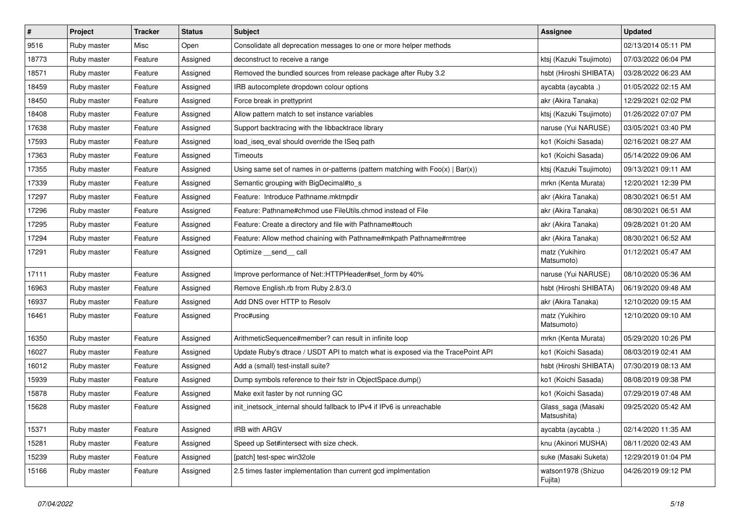| $\vert$ # | Project     | <b>Tracker</b> | <b>Status</b> | Subject                                                                           | <b>Assignee</b>                   | <b>Updated</b>      |
|-----------|-------------|----------------|---------------|-----------------------------------------------------------------------------------|-----------------------------------|---------------------|
| 9516      | Ruby master | Misc           | Open          | Consolidate all deprecation messages to one or more helper methods                |                                   | 02/13/2014 05:11 PM |
| 18773     | Ruby master | Feature        | Assigned      | deconstruct to receive a range                                                    | ktsj (Kazuki Tsujimoto)           | 07/03/2022 06:04 PM |
| 18571     | Ruby master | Feature        | Assigned      | Removed the bundled sources from release package after Ruby 3.2                   | hsbt (Hiroshi SHIBATA)            | 03/28/2022 06:23 AM |
| 18459     | Ruby master | Feature        | Assigned      | IRB autocomplete dropdown colour options                                          | aycabta (aycabta.)                | 01/05/2022 02:15 AM |
| 18450     | Ruby master | Feature        | Assigned      | Force break in prettyprint                                                        | akr (Akira Tanaka)                | 12/29/2021 02:02 PM |
| 18408     | Ruby master | Feature        | Assigned      | Allow pattern match to set instance variables                                     | ktsj (Kazuki Tsujimoto)           | 01/26/2022 07:07 PM |
| 17638     | Ruby master | Feature        | Assigned      | Support backtracing with the libbacktrace library                                 | naruse (Yui NARUSE)               | 03/05/2021 03:40 PM |
| 17593     | Ruby master | Feature        | Assigned      | load iseg eval should override the ISeg path                                      | ko1 (Koichi Sasada)               | 02/16/2021 08:27 AM |
| 17363     | Ruby master | Feature        | Assigned      | Timeouts                                                                          | ko1 (Koichi Sasada)               | 05/14/2022 09:06 AM |
| 17355     | Ruby master | Feature        | Assigned      | Using same set of names in or-patterns (pattern matching with $Foo(x)   Bar(x)$ ) | ktsj (Kazuki Tsujimoto)           | 09/13/2021 09:11 AM |
| 17339     | Ruby master | Feature        | Assigned      | Semantic grouping with BigDecimal#to_s                                            | mrkn (Kenta Murata)               | 12/20/2021 12:39 PM |
| 17297     | Ruby master | Feature        | Assigned      | Feature: Introduce Pathname.mktmpdir                                              | akr (Akira Tanaka)                | 08/30/2021 06:51 AM |
| 17296     | Ruby master | Feature        | Assigned      | Feature: Pathname#chmod use FileUtils.chmod instead of File                       | akr (Akira Tanaka)                | 08/30/2021 06:51 AM |
| 17295     | Ruby master | Feature        | Assigned      | Feature: Create a directory and file with Pathname#touch                          | akr (Akira Tanaka)                | 09/28/2021 01:20 AM |
| 17294     | Ruby master | Feature        | Assigned      | Feature: Allow method chaining with Pathname#mkpath Pathname#rmtree               | akr (Akira Tanaka)                | 08/30/2021 06:52 AM |
| 17291     | Ruby master | Feature        | Assigned      | Optimize __send__ call                                                            | matz (Yukihiro<br>Matsumoto)      | 01/12/2021 05:47 AM |
| 17111     | Ruby master | Feature        | Assigned      | Improve performance of Net::HTTPHeader#set_form by 40%                            | naruse (Yui NARUSE)               | 08/10/2020 05:36 AM |
| 16963     | Ruby master | Feature        | Assigned      | Remove English.rb from Ruby 2.8/3.0                                               | hsbt (Hiroshi SHIBATA)            | 06/19/2020 09:48 AM |
| 16937     | Ruby master | Feature        | Assigned      | Add DNS over HTTP to Resolv                                                       | akr (Akira Tanaka)                | 12/10/2020 09:15 AM |
| 16461     | Ruby master | Feature        | Assigned      | Proc#using                                                                        | matz (Yukihiro<br>Matsumoto)      | 12/10/2020 09:10 AM |
| 16350     | Ruby master | Feature        | Assigned      | ArithmeticSequence#member? can result in infinite loop                            | mrkn (Kenta Murata)               | 05/29/2020 10:26 PM |
| 16027     | Ruby master | Feature        | Assigned      | Update Ruby's dtrace / USDT API to match what is exposed via the TracePoint API   | ko1 (Koichi Sasada)               | 08/03/2019 02:41 AM |
| 16012     | Ruby master | Feature        | Assigned      | Add a (small) test-install suite?                                                 | hsbt (Hiroshi SHIBATA)            | 07/30/2019 08:13 AM |
| 15939     | Ruby master | Feature        | Assigned      | Dump symbols reference to their fstr in ObjectSpace.dump()                        | ko1 (Koichi Sasada)               | 08/08/2019 09:38 PM |
| 15878     | Ruby master | Feature        | Assigned      | Make exit faster by not running GC                                                | ko1 (Koichi Sasada)               | 07/29/2019 07:48 AM |
| 15628     | Ruby master | Feature        | Assigned      | init_inetsock_internal should fallback to IPv4 if IPv6 is unreachable             | Glass_saga (Masaki<br>Matsushita) | 09/25/2020 05:42 AM |
| 15371     | Ruby master | Feature        | Assigned      | IRB with ARGV                                                                     | aycabta (aycabta.)                | 02/14/2020 11:35 AM |
| 15281     | Ruby master | Feature        | Assigned      | Speed up Set#intersect with size check.                                           | knu (Akinori MUSHA)               | 08/11/2020 02:43 AM |
| 15239     | Ruby master | Feature        | Assigned      | [patch] test-spec win32ole                                                        | suke (Masaki Suketa)              | 12/29/2019 01:04 PM |
| 15166     | Ruby master | Feature        | Assigned      | 2.5 times faster implementation than current gcd implmentation                    | watson1978 (Shizuo<br>Fujita)     | 04/26/2019 09:12 PM |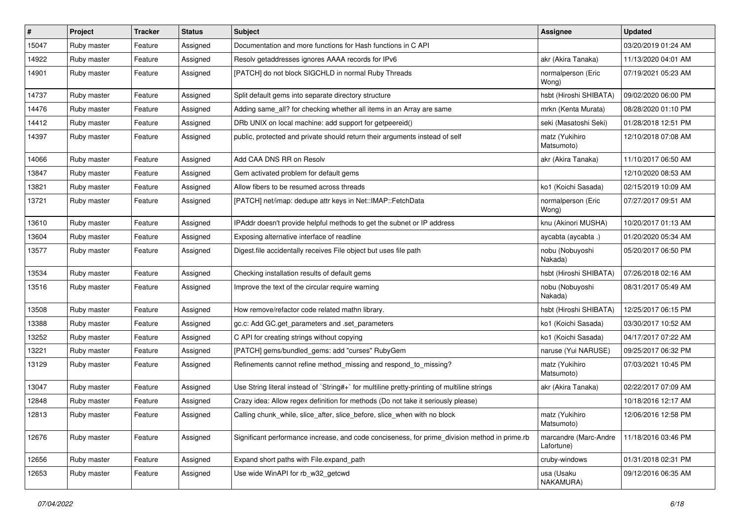| #     | Project     | <b>Tracker</b> | <b>Status</b> | Subject                                                                                       | Assignee                            | <b>Updated</b>      |
|-------|-------------|----------------|---------------|-----------------------------------------------------------------------------------------------|-------------------------------------|---------------------|
| 15047 | Ruby master | Feature        | Assigned      | Documentation and more functions for Hash functions in C API                                  |                                     | 03/20/2019 01:24 AM |
| 14922 | Ruby master | Feature        | Assigned      | Resolv getaddresses ignores AAAA records for IPv6                                             | akr (Akira Tanaka)                  | 11/13/2020 04:01 AM |
| 14901 | Ruby master | Feature        | Assigned      | [PATCH] do not block SIGCHLD in normal Ruby Threads                                           | normalperson (Eric<br>Wong)         | 07/19/2021 05:23 AM |
| 14737 | Ruby master | Feature        | Assigned      | Split default gems into separate directory structure                                          | hsbt (Hiroshi SHIBATA)              | 09/02/2020 06:00 PM |
| 14476 | Ruby master | Feature        | Assigned      | Adding same_all? for checking whether all items in an Array are same                          | mrkn (Kenta Murata)                 | 08/28/2020 01:10 PM |
| 14412 | Ruby master | Feature        | Assigned      | DRb UNIX on local machine: add support for getpeereid()                                       | seki (Masatoshi Seki)               | 01/28/2018 12:51 PM |
| 14397 | Ruby master | Feature        | Assigned      | public, protected and private should return their arguments instead of self                   | matz (Yukihiro<br>Matsumoto)        | 12/10/2018 07:08 AM |
| 14066 | Ruby master | Feature        | Assigned      | Add CAA DNS RR on Resolv                                                                      | akr (Akira Tanaka)                  | 11/10/2017 06:50 AM |
| 13847 | Ruby master | Feature        | Assigned      | Gem activated problem for default gems                                                        |                                     | 12/10/2020 08:53 AM |
| 13821 | Ruby master | Feature        | Assigned      | Allow fibers to be resumed across threads                                                     | ko1 (Koichi Sasada)                 | 02/15/2019 10:09 AM |
| 13721 | Ruby master | Feature        | Assigned      | [PATCH] net/imap: dedupe attr keys in Net::IMAP::FetchData                                    | normalperson (Eric<br>Wong)         | 07/27/2017 09:51 AM |
| 13610 | Ruby master | Feature        | Assigned      | IPAddr doesn't provide helpful methods to get the subnet or IP address                        | knu (Akinori MUSHA)                 | 10/20/2017 01:13 AM |
| 13604 | Ruby master | Feature        | Assigned      | Exposing alternative interface of readline                                                    | aycabta (aycabta.)                  | 01/20/2020 05:34 AM |
| 13577 | Ruby master | Feature        | Assigned      | Digest file accidentally receives File object but uses file path                              | nobu (Nobuyoshi<br>Nakada)          | 05/20/2017 06:50 PM |
| 13534 | Ruby master | Feature        | Assigned      | Checking installation results of default gems                                                 | hsbt (Hiroshi SHIBATA)              | 07/26/2018 02:16 AM |
| 13516 | Ruby master | Feature        | Assigned      | Improve the text of the circular require warning                                              | nobu (Nobuyoshi<br>Nakada)          | 08/31/2017 05:49 AM |
| 13508 | Ruby master | Feature        | Assigned      | How remove/refactor code related mathn library.                                               | hsbt (Hiroshi SHIBATA)              | 12/25/2017 06:15 PM |
| 13388 | Ruby master | Feature        | Assigned      | gc.c: Add GC.get_parameters and .set_parameters                                               | ko1 (Koichi Sasada)                 | 03/30/2017 10:52 AM |
| 13252 | Ruby master | Feature        | Assigned      | C API for creating strings without copying                                                    | ko1 (Koichi Sasada)                 | 04/17/2017 07:22 AM |
| 13221 | Ruby master | Feature        | Assigned      | [PATCH] gems/bundled_gems: add "curses" RubyGem                                               | naruse (Yui NARUSE)                 | 09/25/2017 06:32 PM |
| 13129 | Ruby master | Feature        | Assigned      | Refinements cannot refine method_missing and respond_to_missing?                              | matz (Yukihiro<br>Matsumoto)        | 07/03/2021 10:45 PM |
| 13047 | Ruby master | Feature        | Assigned      | Use String literal instead of `String#+` for multiline pretty-printing of multiline strings   | akr (Akira Tanaka)                  | 02/22/2017 07:09 AM |
| 12848 | Ruby master | Feature        | Assigned      | Crazy idea: Allow regex definition for methods (Do not take it seriously please)              |                                     | 10/18/2016 12:17 AM |
| 12813 | Ruby master | Feature        | Assigned      | Calling chunk while, slice after, slice before, slice when with no block                      | matz (Yukihiro<br>Matsumoto)        | 12/06/2016 12:58 PM |
| 12676 | Ruby master | Feature        | Assigned      | Significant performance increase, and code conciseness, for prime_division method in prime.rb | marcandre (Marc-Andre<br>Lafortune) | 11/18/2016 03:46 PM |
| 12656 | Ruby master | Feature        | Assigned      | Expand short paths with File.expand_path                                                      | cruby-windows                       | 01/31/2018 02:31 PM |
| 12653 | Ruby master | Feature        | Assigned      | Use wide WinAPI for rb w32 getcwd                                                             | usa (Usaku<br>NAKAMURA)             | 09/12/2016 06:35 AM |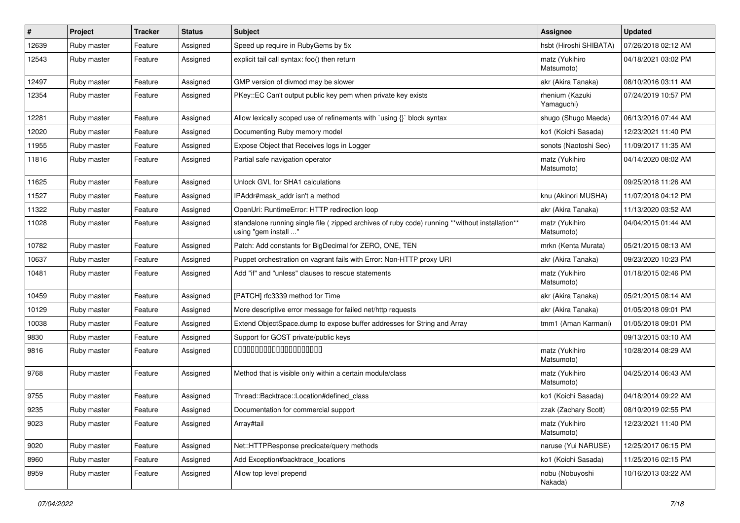| #     | Project     | <b>Tracker</b> | <b>Status</b> | Subject                                                                                                                 | Assignee                      | <b>Updated</b>      |
|-------|-------------|----------------|---------------|-------------------------------------------------------------------------------------------------------------------------|-------------------------------|---------------------|
| 12639 | Ruby master | Feature        | Assigned      | Speed up require in RubyGems by 5x                                                                                      | hsbt (Hiroshi SHIBATA)        | 07/26/2018 02:12 AM |
| 12543 | Ruby master | Feature        | Assigned      | explicit tail call syntax: foo() then return                                                                            | matz (Yukihiro<br>Matsumoto)  | 04/18/2021 03:02 PM |
| 12497 | Ruby master | Feature        | Assigned      | GMP version of divmod may be slower                                                                                     | akr (Akira Tanaka)            | 08/10/2016 03:11 AM |
| 12354 | Ruby master | Feature        | Assigned      | PKey::EC Can't output public key pem when private key exists                                                            | rhenium (Kazuki<br>Yamaguchi) | 07/24/2019 10:57 PM |
| 12281 | Ruby master | Feature        | Assigned      | Allow lexically scoped use of refinements with `using {}` block syntax                                                  | shugo (Shugo Maeda)           | 06/13/2016 07:44 AM |
| 12020 | Ruby master | Feature        | Assigned      | Documenting Ruby memory model                                                                                           | ko1 (Koichi Sasada)           | 12/23/2021 11:40 PM |
| 11955 | Ruby master | Feature        | Assigned      | Expose Object that Receives logs in Logger                                                                              | sonots (Naotoshi Seo)         | 11/09/2017 11:35 AM |
| 11816 | Ruby master | Feature        | Assigned      | Partial safe navigation operator                                                                                        | matz (Yukihiro<br>Matsumoto)  | 04/14/2020 08:02 AM |
| 11625 | Ruby master | Feature        | Assigned      | Unlock GVL for SHA1 calculations                                                                                        |                               | 09/25/2018 11:26 AM |
| 11527 | Ruby master | Feature        | Assigned      | IPAddr#mask_addr isn't a method                                                                                         | knu (Akinori MUSHA)           | 11/07/2018 04:12 PM |
| 11322 | Ruby master | Feature        | Assigned      | OpenUri: RuntimeError: HTTP redirection loop                                                                            | akr (Akira Tanaka)            | 11/13/2020 03:52 AM |
| 11028 | Ruby master | Feature        | Assigned      | standalone running single file ( zipped archives of ruby code) running **without installation**<br>using "gem install " | matz (Yukihiro<br>Matsumoto)  | 04/04/2015 01:44 AM |
| 10782 | Ruby master | Feature        | Assigned      | Patch: Add constants for BigDecimal for ZERO, ONE, TEN                                                                  | mrkn (Kenta Murata)           | 05/21/2015 08:13 AM |
| 10637 | Ruby master | Feature        | Assigned      | Puppet orchestration on vagrant fails with Error: Non-HTTP proxy URI                                                    | akr (Akira Tanaka)            | 09/23/2020 10:23 PM |
| 10481 | Ruby master | Feature        | Assigned      | Add "if" and "unless" clauses to rescue statements                                                                      | matz (Yukihiro<br>Matsumoto)  | 01/18/2015 02:46 PM |
| 10459 | Ruby master | Feature        | Assigned      | [PATCH] rfc3339 method for Time                                                                                         | akr (Akira Tanaka)            | 05/21/2015 08:14 AM |
| 10129 | Ruby master | Feature        | Assigned      | More descriptive error message for failed net/http requests                                                             | akr (Akira Tanaka)            | 01/05/2018 09:01 PM |
| 10038 | Ruby master | Feature        | Assigned      | Extend ObjectSpace.dump to expose buffer addresses for String and Array                                                 | tmm1 (Aman Karmani)           | 01/05/2018 09:01 PM |
| 9830  | Ruby master | Feature        | Assigned      | Support for GOST private/public keys                                                                                    |                               | 09/13/2015 03:10 AM |
| 9816  | Ruby master | Feature        | Assigned      | 00000000000000000000                                                                                                    | matz (Yukihiro<br>Matsumoto)  | 10/28/2014 08:29 AM |
| 9768  | Ruby master | Feature        | Assigned      | Method that is visible only within a certain module/class                                                               | matz (Yukihiro<br>Matsumoto)  | 04/25/2014 06:43 AM |
| 9755  | Ruby master | Feature        | Assigned      | Thread::Backtrace::Location#defined class                                                                               | ko1 (Koichi Sasada)           | 04/18/2014 09:22 AM |
| 9235  | Ruby master | Feature        | Assigned      | Documentation for commercial support                                                                                    | zzak (Zachary Scott)          | 08/10/2019 02:55 PM |
| 9023  | Ruby master | Feature        | Assigned      | Array#tail                                                                                                              | matz (Yukihiro<br>Matsumoto)  | 12/23/2021 11:40 PM |
| 9020  | Ruby master | Feature        | Assigned      | Net::HTTPResponse predicate/query methods                                                                               | naruse (Yui NARUSE)           | 12/25/2017 06:15 PM |
| 8960  | Ruby master | Feature        | Assigned      | Add Exception#backtrace_locations                                                                                       | ko1 (Koichi Sasada)           | 11/25/2016 02:15 PM |
| 8959  | Ruby master | Feature        | Assigned      | Allow top level prepend                                                                                                 | nobu (Nobuyoshi<br>Nakada)    | 10/16/2013 03:22 AM |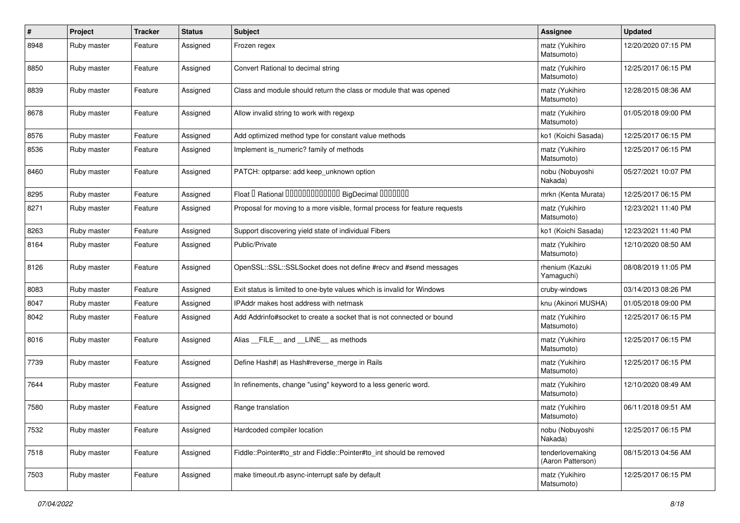| $\vert$ # | Project     | <b>Tracker</b> | <b>Status</b> | Subject                                                                    | <b>Assignee</b>                       | <b>Updated</b>      |
|-----------|-------------|----------------|---------------|----------------------------------------------------------------------------|---------------------------------------|---------------------|
| 8948      | Ruby master | Feature        | Assigned      | Frozen regex                                                               | matz (Yukihiro<br>Matsumoto)          | 12/20/2020 07:15 PM |
| 8850      | Ruby master | Feature        | Assigned      | Convert Rational to decimal string                                         | matz (Yukihiro<br>Matsumoto)          | 12/25/2017 06:15 PM |
| 8839      | Ruby master | Feature        | Assigned      | Class and module should return the class or module that was opened         | matz (Yukihiro<br>Matsumoto)          | 12/28/2015 08:36 AM |
| 8678      | Ruby master | Feature        | Assigned      | Allow invalid string to work with regexp                                   | matz (Yukihiro<br>Matsumoto)          | 01/05/2018 09:00 PM |
| 8576      | Ruby master | Feature        | Assigned      | Add optimized method type for constant value methods                       | ko1 (Koichi Sasada)                   | 12/25/2017 06:15 PM |
| 8536      | Ruby master | Feature        | Assigned      | Implement is_numeric? family of methods                                    | matz (Yukihiro<br>Matsumoto)          | 12/25/2017 06:15 PM |
| 8460      | Ruby master | Feature        | Assigned      | PATCH: optparse: add keep_unknown option                                   | nobu (Nobuyoshi<br>Nakada)            | 05/27/2021 10:07 PM |
| 8295      | Ruby master | Feature        | Assigned      | Float I Rational 0000000000000 BigDecimal 0000000                          | mrkn (Kenta Murata)                   | 12/25/2017 06:15 PM |
| 8271      | Ruby master | Feature        | Assigned      | Proposal for moving to a more visible, formal process for feature requests | matz (Yukihiro<br>Matsumoto)          | 12/23/2021 11:40 PM |
| 8263      | Ruby master | Feature        | Assigned      | Support discovering yield state of individual Fibers                       | ko1 (Koichi Sasada)                   | 12/23/2021 11:40 PM |
| 8164      | Ruby master | Feature        | Assigned      | Public/Private                                                             | matz (Yukihiro<br>Matsumoto)          | 12/10/2020 08:50 AM |
| 8126      | Ruby master | Feature        | Assigned      | OpenSSL::SSL:SSLSocket does not define #recv and #send messages            | rhenium (Kazuki<br>Yamaguchi)         | 08/08/2019 11:05 PM |
| 8083      | Ruby master | Feature        | Assigned      | Exit status is limited to one-byte values which is invalid for Windows     | cruby-windows                         | 03/14/2013 08:26 PM |
| 8047      | Ruby master | Feature        | Assigned      | IPAddr makes host address with netmask                                     | knu (Akinori MUSHA)                   | 01/05/2018 09:00 PM |
| 8042      | Ruby master | Feature        | Assigned      | Add Addrinfo#socket to create a socket that is not connected or bound      | matz (Yukihiro<br>Matsumoto)          | 12/25/2017 06:15 PM |
| 8016      | Ruby master | Feature        | Assigned      | Alias FILE and LINE as methods                                             | matz (Yukihiro<br>Matsumoto)          | 12/25/2017 06:15 PM |
| 7739      | Ruby master | Feature        | Assigned      | Define Hash#  as Hash#reverse_merge in Rails                               | matz (Yukihiro<br>Matsumoto)          | 12/25/2017 06:15 PM |
| 7644      | Ruby master | Feature        | Assigned      | In refinements, change "using" keyword to a less generic word.             | matz (Yukihiro<br>Matsumoto)          | 12/10/2020 08:49 AM |
| 7580      | Ruby master | Feature        | Assigned      | Range translation                                                          | matz (Yukihiro<br>Matsumoto)          | 06/11/2018 09:51 AM |
| 7532      | Ruby master | Feature        | Assigned      | Hardcoded compiler location                                                | nobu (Nobuyoshi<br>Nakada)            | 12/25/2017 06:15 PM |
| 7518      | Ruby master | Feature        | Assigned      | Fiddle::Pointer#to_str and Fiddle::Pointer#to_int should be removed        | tenderlovemaking<br>(Aaron Patterson) | 08/15/2013 04:56 AM |
| 7503      | Ruby master | Feature        | Assigned      | make timeout.rb async-interrupt safe by default                            | matz (Yukihiro<br>Matsumoto)          | 12/25/2017 06:15 PM |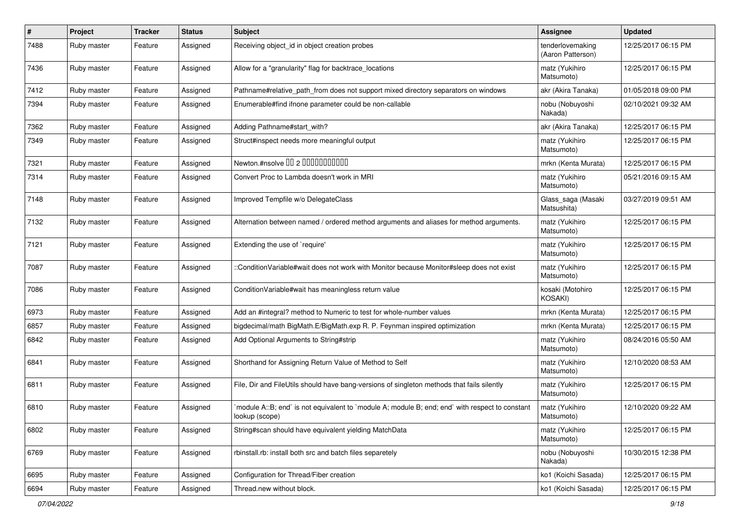| $\sharp$ | Project     | <b>Tracker</b> | <b>Status</b> | Subject                                                                                                          | <b>Assignee</b>                       | <b>Updated</b>      |
|----------|-------------|----------------|---------------|------------------------------------------------------------------------------------------------------------------|---------------------------------------|---------------------|
| 7488     | Ruby master | Feature        | Assigned      | Receiving object id in object creation probes                                                                    | tenderlovemaking<br>(Aaron Patterson) | 12/25/2017 06:15 PM |
| 7436     | Ruby master | Feature        | Assigned      | Allow for a "granularity" flag for backtrace_locations                                                           | matz (Yukihiro<br>Matsumoto)          | 12/25/2017 06:15 PM |
| 7412     | Ruby master | Feature        | Assigned      | Pathname#relative_path_from does not support mixed directory separators on windows                               | akr (Akira Tanaka)                    | 01/05/2018 09:00 PM |
| 7394     | Ruby master | Feature        | Assigned      | Enumerable#find ifnone parameter could be non-callable                                                           | nobu (Nobuyoshi<br>Nakada)            | 02/10/2021 09:32 AM |
| 7362     | Ruby master | Feature        | Assigned      | Adding Pathname#start_with?                                                                                      | akr (Akira Tanaka)                    | 12/25/2017 06:15 PM |
| 7349     | Ruby master | Feature        | Assigned      | Struct#inspect needs more meaningful output                                                                      | matz (Yukihiro<br>Matsumoto)          | 12/25/2017 06:15 PM |
| 7321     | Ruby master | Feature        | Assigned      | Newton.#nsolve 00 2 0000000000                                                                                   | mrkn (Kenta Murata)                   | 12/25/2017 06:15 PM |
| 7314     | Ruby master | Feature        | Assigned      | Convert Proc to Lambda doesn't work in MRI                                                                       | matz (Yukihiro<br>Matsumoto)          | 05/21/2016 09:15 AM |
| 7148     | Ruby master | Feature        | Assigned      | Improved Tempfile w/o DelegateClass                                                                              | Glass_saga (Masaki<br>Matsushita)     | 03/27/2019 09:51 AM |
| 7132     | Ruby master | Feature        | Assigned      | Alternation between named / ordered method arguments and aliases for method arguments.                           | matz (Yukihiro<br>Matsumoto)          | 12/25/2017 06:15 PM |
| 7121     | Ruby master | Feature        | Assigned      | Extending the use of `require'                                                                                   | matz (Yukihiro<br>Matsumoto)          | 12/25/2017 06:15 PM |
| 7087     | Ruby master | Feature        | Assigned      | :ConditionVariable#wait does not work with Monitor because Monitor#sleep does not exist                          | matz (Yukihiro<br>Matsumoto)          | 12/25/2017 06:15 PM |
| 7086     | Ruby master | Feature        | Assigned      | ConditionVariable#wait has meaningless return value                                                              | kosaki (Motohiro<br>KOSAKI)           | 12/25/2017 06:15 PM |
| 6973     | Ruby master | Feature        | Assigned      | Add an #integral? method to Numeric to test for whole-number values                                              | mrkn (Kenta Murata)                   | 12/25/2017 06:15 PM |
| 6857     | Ruby master | Feature        | Assigned      | bigdecimal/math BigMath.E/BigMath.exp R. P. Feynman inspired optimization                                        | mrkn (Kenta Murata)                   | 12/25/2017 06:15 PM |
| 6842     | Ruby master | Feature        | Assigned      | Add Optional Arguments to String#strip                                                                           | matz (Yukihiro<br>Matsumoto)          | 08/24/2016 05:50 AM |
| 6841     | Ruby master | Feature        | Assigned      | Shorthand for Assigning Return Value of Method to Self                                                           | matz (Yukihiro<br>Matsumoto)          | 12/10/2020 08:53 AM |
| 6811     | Ruby master | Feature        | Assigned      | File, Dir and FileUtils should have bang-versions of singleton methods that fails silently                       | matz (Yukihiro<br>Matsumoto)          | 12/25/2017 06:15 PM |
| 6810     | Ruby master | Feature        | Assigned      | module A::B; end` is not equivalent to `module A; module B; end; end` with respect to constant<br>lookup (scope) | matz (Yukihiro<br>Matsumoto)          | 12/10/2020 09:22 AM |
| 6802     | Ruby master | Feature        | Assigned      | String#scan should have equivalent yielding MatchData                                                            | matz (Yukihiro<br>Matsumoto)          | 12/25/2017 06:15 PM |
| 6769     | Ruby master | Feature        | Assigned      | rbinstall.rb: install both src and batch files separetely                                                        | nobu (Nobuyoshi<br>Nakada)            | 10/30/2015 12:38 PM |
| 6695     | Ruby master | Feature        | Assigned      | Configuration for Thread/Fiber creation                                                                          | ko1 (Koichi Sasada)                   | 12/25/2017 06:15 PM |
| 6694     | Ruby master | Feature        | Assigned      | Thread.new without block.                                                                                        | ko1 (Koichi Sasada)                   | 12/25/2017 06:15 PM |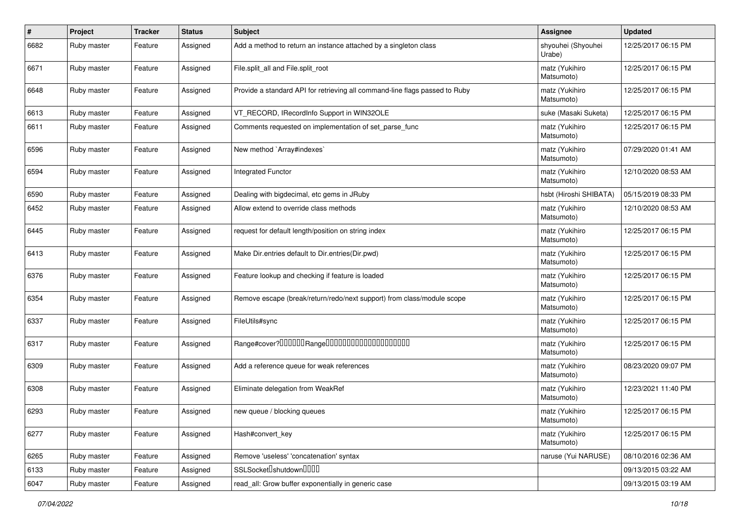| $\vert$ # | Project     | <b>Tracker</b> | <b>Status</b> | <b>Subject</b>                                                              | <b>Assignee</b>              | <b>Updated</b>      |
|-----------|-------------|----------------|---------------|-----------------------------------------------------------------------------|------------------------------|---------------------|
| 6682      | Ruby master | Feature        | Assigned      | Add a method to return an instance attached by a singleton class            | shyouhei (Shyouhei<br>Urabe) | 12/25/2017 06:15 PM |
| 6671      | Ruby master | Feature        | Assigned      | File.split_all and File.split_root                                          | matz (Yukihiro<br>Matsumoto) | 12/25/2017 06:15 PM |
| 6648      | Ruby master | Feature        | Assigned      | Provide a standard API for retrieving all command-line flags passed to Ruby | matz (Yukihiro<br>Matsumoto) | 12/25/2017 06:15 PM |
| 6613      | Ruby master | Feature        | Assigned      | VT_RECORD, IRecordInfo Support in WIN32OLE                                  | suke (Masaki Suketa)         | 12/25/2017 06:15 PM |
| 6611      | Ruby master | Feature        | Assigned      | Comments requested on implementation of set_parse_func                      | matz (Yukihiro<br>Matsumoto) | 12/25/2017 06:15 PM |
| 6596      | Ruby master | Feature        | Assigned      | New method `Array#indexes`                                                  | matz (Yukihiro<br>Matsumoto) | 07/29/2020 01:41 AM |
| 6594      | Ruby master | Feature        | Assigned      | Integrated Functor                                                          | matz (Yukihiro<br>Matsumoto) | 12/10/2020 08:53 AM |
| 6590      | Ruby master | Feature        | Assigned      | Dealing with bigdecimal, etc gems in JRuby                                  | hsbt (Hiroshi SHIBATA)       | 05/15/2019 08:33 PM |
| 6452      | Ruby master | Feature        | Assigned      | Allow extend to override class methods                                      | matz (Yukihiro<br>Matsumoto) | 12/10/2020 08:53 AM |
| 6445      | Ruby master | Feature        | Assigned      | request for default length/position on string index                         | matz (Yukihiro<br>Matsumoto) | 12/25/2017 06:15 PM |
| 6413      | Ruby master | Feature        | Assigned      | Make Dir.entries default to Dir.entries(Dir.pwd)                            | matz (Yukihiro<br>Matsumoto) | 12/25/2017 06:15 PM |
| 6376      | Ruby master | Feature        | Assigned      | Feature lookup and checking if feature is loaded                            | matz (Yukihiro<br>Matsumoto) | 12/25/2017 06:15 PM |
| 6354      | Ruby master | Feature        | Assigned      | Remove escape (break/return/redo/next support) from class/module scope      | matz (Yukihiro<br>Matsumoto) | 12/25/2017 06:15 PM |
| 6337      | Ruby master | Feature        | Assigned      | FileUtils#sync                                                              | matz (Yukihiro<br>Matsumoto) | 12/25/2017 06:15 PM |
| 6317      | Ruby master | Feature        | Assigned      |                                                                             | matz (Yukihiro<br>Matsumoto) | 12/25/2017 06:15 PM |
| 6309      | Ruby master | Feature        | Assigned      | Add a reference queue for weak references                                   | matz (Yukihiro<br>Matsumoto) | 08/23/2020 09:07 PM |
| 6308      | Ruby master | Feature        | Assigned      | Eliminate delegation from WeakRef                                           | matz (Yukihiro<br>Matsumoto) | 12/23/2021 11:40 PM |
| 6293      | Ruby master | Feature        | Assigned      | new queue / blocking queues                                                 | matz (Yukihiro<br>Matsumoto) | 12/25/2017 06:15 PM |
| 6277      | Ruby master | Feature        | Assigned      | Hash#convert_key                                                            | matz (Yukihiro<br>Matsumoto) | 12/25/2017 06:15 PM |
| 6265      | Ruby master | Feature        | Assigned      | Remove 'useless' 'concatenation' syntax                                     | naruse (Yui NARUSE)          | 08/10/2016 02:36 AM |
| 6133      | Ruby master | Feature        | Assigned      | SSLSocketlshutdownllllll                                                    |                              | 09/13/2015 03:22 AM |
| 6047      | Ruby master | Feature        | Assigned      | read_all: Grow buffer exponentially in generic case                         |                              | 09/13/2015 03:19 AM |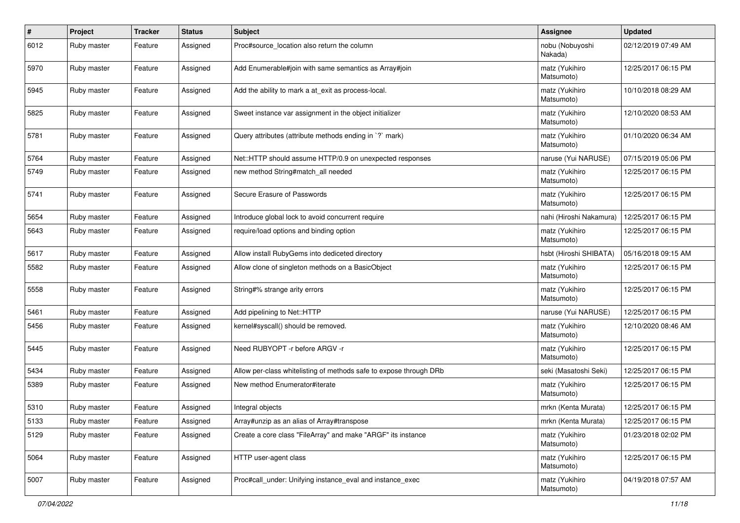| $\vert$ # | Project     | <b>Tracker</b> | <b>Status</b> | <b>Subject</b>                                                     | <b>Assignee</b>              | <b>Updated</b>      |
|-----------|-------------|----------------|---------------|--------------------------------------------------------------------|------------------------------|---------------------|
| 6012      | Ruby master | Feature        | Assigned      | Proc#source_location also return the column                        | nobu (Nobuyoshi<br>Nakada)   | 02/12/2019 07:49 AM |
| 5970      | Ruby master | Feature        | Assigned      | Add Enumerable#join with same semantics as Array#join              | matz (Yukihiro<br>Matsumoto) | 12/25/2017 06:15 PM |
| 5945      | Ruby master | Feature        | Assigned      | Add the ability to mark a at_exit as process-local.                | matz (Yukihiro<br>Matsumoto) | 10/10/2018 08:29 AM |
| 5825      | Ruby master | Feature        | Assigned      | Sweet instance var assignment in the object initializer            | matz (Yukihiro<br>Matsumoto) | 12/10/2020 08:53 AM |
| 5781      | Ruby master | Feature        | Assigned      | Query attributes (attribute methods ending in `?` mark)            | matz (Yukihiro<br>Matsumoto) | 01/10/2020 06:34 AM |
| 5764      | Ruby master | Feature        | Assigned      | Net::HTTP should assume HTTP/0.9 on unexpected responses           | naruse (Yui NARUSE)          | 07/15/2019 05:06 PM |
| 5749      | Ruby master | Feature        | Assigned      | new method String#match_all needed                                 | matz (Yukihiro<br>Matsumoto) | 12/25/2017 06:15 PM |
| 5741      | Ruby master | Feature        | Assigned      | Secure Erasure of Passwords                                        | matz (Yukihiro<br>Matsumoto) | 12/25/2017 06:15 PM |
| 5654      | Ruby master | Feature        | Assigned      | Introduce global lock to avoid concurrent require                  | nahi (Hiroshi Nakamura)      | 12/25/2017 06:15 PM |
| 5643      | Ruby master | Feature        | Assigned      | require/load options and binding option                            | matz (Yukihiro<br>Matsumoto) | 12/25/2017 06:15 PM |
| 5617      | Ruby master | Feature        | Assigned      | Allow install RubyGems into dediceted directory                    | hsbt (Hiroshi SHIBATA)       | 05/16/2018 09:15 AM |
| 5582      | Ruby master | Feature        | Assigned      | Allow clone of singleton methods on a BasicObject                  | matz (Yukihiro<br>Matsumoto) | 12/25/2017 06:15 PM |
| 5558      | Ruby master | Feature        | Assigned      | String#% strange arity errors                                      | matz (Yukihiro<br>Matsumoto) | 12/25/2017 06:15 PM |
| 5461      | Ruby master | Feature        | Assigned      | Add pipelining to Net::HTTP                                        | naruse (Yui NARUSE)          | 12/25/2017 06:15 PM |
| 5456      | Ruby master | Feature        | Assigned      | kernel#syscall() should be removed.                                | matz (Yukihiro<br>Matsumoto) | 12/10/2020 08:46 AM |
| 5445      | Ruby master | Feature        | Assigned      | Need RUBYOPT -r before ARGV -r                                     | matz (Yukihiro<br>Matsumoto) | 12/25/2017 06:15 PM |
| 5434      | Ruby master | Feature        | Assigned      | Allow per-class whitelisting of methods safe to expose through DRb | seki (Masatoshi Seki)        | 12/25/2017 06:15 PM |
| 5389      | Ruby master | Feature        | Assigned      | New method Enumerator#iterate                                      | matz (Yukihiro<br>Matsumoto) | 12/25/2017 06:15 PM |
| 5310      | Ruby master | Feature        | Assigned      | Integral objects                                                   | mrkn (Kenta Murata)          | 12/25/2017 06:15 PM |
| 5133      | Ruby master | Feature        | Assigned      | Array#unzip as an alias of Array#transpose                         | mrkn (Kenta Murata)          | 12/25/2017 06:15 PM |
| 5129      | Ruby master | Feature        | Assigned      | Create a core class "FileArray" and make "ARGF" its instance       | matz (Yukihiro<br>Matsumoto) | 01/23/2018 02:02 PM |
| 5064      | Ruby master | Feature        | Assigned      | HTTP user-agent class                                              | matz (Yukihiro<br>Matsumoto) | 12/25/2017 06:15 PM |
| 5007      | Ruby master | Feature        | Assigned      | Proc#call_under: Unifying instance_eval and instance_exec          | matz (Yukihiro<br>Matsumoto) | 04/19/2018 07:57 AM |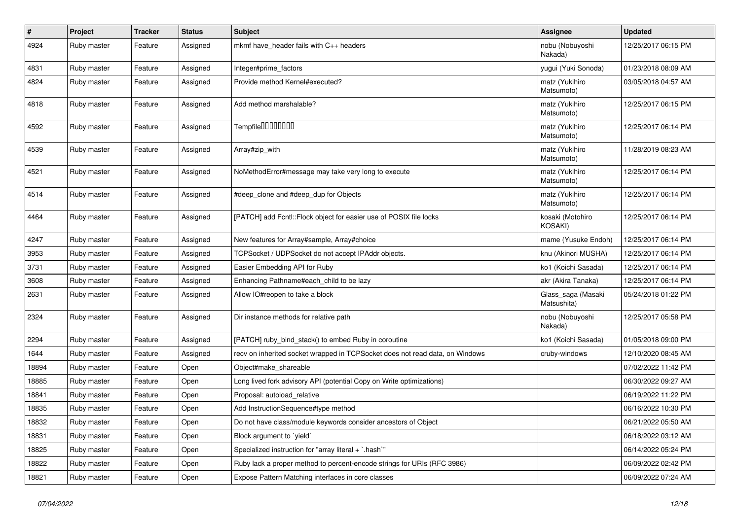| $\vert$ # | Project     | <b>Tracker</b> | <b>Status</b> | <b>Subject</b>                                                               | Assignee                          | <b>Updated</b>      |
|-----------|-------------|----------------|---------------|------------------------------------------------------------------------------|-----------------------------------|---------------------|
| 4924      | Ruby master | Feature        | Assigned      | mkmf have header fails with $C_{++}$ headers                                 | nobu (Nobuyoshi<br>Nakada)        | 12/25/2017 06:15 PM |
| 4831      | Ruby master | Feature        | Assigned      | Integer#prime_factors                                                        | yugui (Yuki Sonoda)               | 01/23/2018 08:09 AM |
| 4824      | Ruby master | Feature        | Assigned      | Provide method Kernel#executed?                                              | matz (Yukihiro<br>Matsumoto)      | 03/05/2018 04:57 AM |
| 4818      | Ruby master | Feature        | Assigned      | Add method marshalable?                                                      | matz (Yukihiro<br>Matsumoto)      | 12/25/2017 06:15 PM |
| 4592      | Ruby master | Feature        | Assigned      | Tempfile0000000                                                              | matz (Yukihiro<br>Matsumoto)      | 12/25/2017 06:14 PM |
| 4539      | Ruby master | Feature        | Assigned      | Array#zip_with                                                               | matz (Yukihiro<br>Matsumoto)      | 11/28/2019 08:23 AM |
| 4521      | Ruby master | Feature        | Assigned      | NoMethodError#message may take very long to execute                          | matz (Yukihiro<br>Matsumoto)      | 12/25/2017 06:14 PM |
| 4514      | Ruby master | Feature        | Assigned      | #deep_clone and #deep_dup for Objects                                        | matz (Yukihiro<br>Matsumoto)      | 12/25/2017 06:14 PM |
| 4464      | Ruby master | Feature        | Assigned      | [PATCH] add Fcntl:: Flock object for easier use of POSIX file locks          | kosaki (Motohiro<br>KOSAKI)       | 12/25/2017 06:14 PM |
| 4247      | Ruby master | Feature        | Assigned      | New features for Array#sample, Array#choice                                  | mame (Yusuke Endoh)               | 12/25/2017 06:14 PM |
| 3953      | Ruby master | Feature        | Assigned      | TCPSocket / UDPSocket do not accept IPAddr objects.                          | knu (Akinori MUSHA)               | 12/25/2017 06:14 PM |
| 3731      | Ruby master | Feature        | Assigned      | Easier Embedding API for Ruby                                                | ko1 (Koichi Sasada)               | 12/25/2017 06:14 PM |
| 3608      | Ruby master | Feature        | Assigned      | Enhancing Pathname#each child to be lazy                                     | akr (Akira Tanaka)                | 12/25/2017 06:14 PM |
| 2631      | Ruby master | Feature        | Assigned      | Allow IO#reopen to take a block                                              | Glass_saga (Masaki<br>Matsushita) | 05/24/2018 01:22 PM |
| 2324      | Ruby master | Feature        | Assigned      | Dir instance methods for relative path                                       | nobu (Nobuyoshi<br>Nakada)        | 12/25/2017 05:58 PM |
| 2294      | Ruby master | Feature        | Assigned      | [PATCH] ruby bind stack() to embed Ruby in coroutine                         | ko1 (Koichi Sasada)               | 01/05/2018 09:00 PM |
| 1644      | Ruby master | Feature        | Assigned      | recv on inherited socket wrapped in TCPSocket does not read data, on Windows | cruby-windows                     | 12/10/2020 08:45 AM |
| 18894     | Ruby master | Feature        | Open          | Object#make shareable                                                        |                                   | 07/02/2022 11:42 PM |
| 18885     | Ruby master | Feature        | Open          | Long lived fork advisory API (potential Copy on Write optimizations)         |                                   | 06/30/2022 09:27 AM |
| 18841     | Ruby master | Feature        | Open          | Proposal: autoload relative                                                  |                                   | 06/19/2022 11:22 PM |
| 18835     | Ruby master | Feature        | Open          | Add InstructionSequence#type method                                          |                                   | 06/16/2022 10:30 PM |
| 18832     | Ruby master | Feature        | Open          | Do not have class/module keywords consider ancestors of Object               |                                   | 06/21/2022 05:50 AM |
| 18831     | Ruby master | Feature        | Open          | Block argument to `yield`                                                    |                                   | 06/18/2022 03:12 AM |
| 18825     | Ruby master | Feature        | Open          | Specialized instruction for "array literal $+$ `.hash`"                      |                                   | 06/14/2022 05:24 PM |
| 18822     | Ruby master | Feature        | Open          | Ruby lack a proper method to percent-encode strings for URIs (RFC 3986)      |                                   | 06/09/2022 02:42 PM |
| 18821     | Ruby master | Feature        | Open          | Expose Pattern Matching interfaces in core classes                           |                                   | 06/09/2022 07:24 AM |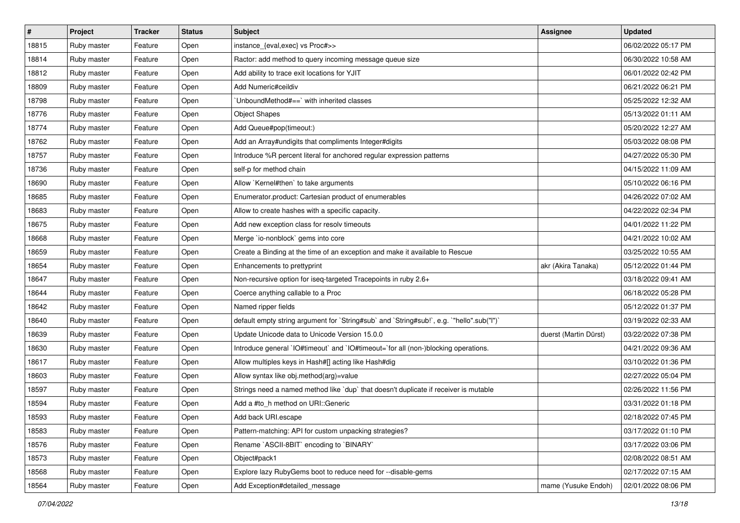| $\vert$ # | <b>Project</b> | <b>Tracker</b> | <b>Status</b> | <b>Subject</b>                                                                            | <b>Assignee</b>       | <b>Updated</b>      |
|-----------|----------------|----------------|---------------|-------------------------------------------------------------------------------------------|-----------------------|---------------------|
| 18815     | Ruby master    | Feature        | Open          | instance_{eval,exec} vs Proc#>>                                                           |                       | 06/02/2022 05:17 PM |
| 18814     | Ruby master    | Feature        | Open          | Ractor: add method to query incoming message queue size                                   |                       | 06/30/2022 10:58 AM |
| 18812     | Ruby master    | Feature        | Open          | Add ability to trace exit locations for YJIT                                              |                       | 06/01/2022 02:42 PM |
| 18809     | Ruby master    | Feature        | Open          | Add Numeric#ceildiv                                                                       |                       | 06/21/2022 06:21 PM |
| 18798     | Ruby master    | Feature        | Open          | UnboundMethod# $==$ ` with inherited classes                                              |                       | 05/25/2022 12:32 AM |
| 18776     | Ruby master    | Feature        | Open          | <b>Object Shapes</b>                                                                      |                       | 05/13/2022 01:11 AM |
| 18774     | Ruby master    | Feature        | Open          | Add Queue#pop(timeout:)                                                                   |                       | 05/20/2022 12:27 AM |
| 18762     | Ruby master    | Feature        | Open          | Add an Array#undigits that compliments Integer#digits                                     |                       | 05/03/2022 08:08 PM |
| 18757     | Ruby master    | Feature        | Open          | Introduce %R percent literal for anchored regular expression patterns                     |                       | 04/27/2022 05:30 PM |
| 18736     | Ruby master    | Feature        | Open          | self-p for method chain                                                                   |                       | 04/15/2022 11:09 AM |
| 18690     | Ruby master    | Feature        | Open          | Allow `Kernel#then` to take arguments                                                     |                       | 05/10/2022 06:16 PM |
| 18685     | Ruby master    | Feature        | Open          | Enumerator.product: Cartesian product of enumerables                                      |                       | 04/26/2022 07:02 AM |
| 18683     | Ruby master    | Feature        | Open          | Allow to create hashes with a specific capacity.                                          |                       | 04/22/2022 02:34 PM |
| 18675     | Ruby master    | Feature        | Open          | Add new exception class for resolv timeouts                                               |                       | 04/01/2022 11:22 PM |
| 18668     | Ruby master    | Feature        | Open          | Merge `io-nonblock` gems into core                                                        |                       | 04/21/2022 10:02 AM |
| 18659     | Ruby master    | Feature        | Open          | Create a Binding at the time of an exception and make it available to Rescue              |                       | 03/25/2022 10:55 AM |
| 18654     | Ruby master    | Feature        | Open          | Enhancements to prettyprint                                                               | akr (Akira Tanaka)    | 05/12/2022 01:44 PM |
| 18647     | Ruby master    | Feature        | Open          | Non-recursive option for iseq-targeted Tracepoints in ruby 2.6+                           |                       | 03/18/2022 09:41 AM |
| 18644     | Ruby master    | Feature        | Open          | Coerce anything callable to a Proc                                                        |                       | 06/18/2022 05:28 PM |
| 18642     | Ruby master    | Feature        | Open          | Named ripper fields                                                                       |                       | 05/12/2022 01:37 PM |
| 18640     | Ruby master    | Feature        | Open          | default empty string argument for `String#sub` and `String#sub!`, e.g. `"hello".sub("I")` |                       | 03/19/2022 02:33 AM |
| 18639     | Ruby master    | Feature        | Open          | Update Unicode data to Unicode Version 15.0.0                                             | duerst (Martin Dürst) | 03/22/2022 07:38 PM |
| 18630     | Ruby master    | Feature        | Open          | Introduce general `IO#timeout` and `IO#timeout=`for all (non-)blocking operations.        |                       | 04/21/2022 09:36 AM |
| 18617     | Ruby master    | Feature        | Open          | Allow multiples keys in Hash#[] acting like Hash#dig                                      |                       | 03/10/2022 01:36 PM |
| 18603     | Ruby master    | Feature        | Open          | Allow syntax like obj.method(arg)=value                                                   |                       | 02/27/2022 05:04 PM |
| 18597     | Ruby master    | Feature        | Open          | Strings need a named method like 'dup' that doesn't duplicate if receiver is mutable      |                       | 02/26/2022 11:56 PM |
| 18594     | Ruby master    | Feature        | Open          | Add a #to_h method on URI::Generic                                                        |                       | 03/31/2022 01:18 PM |
| 18593     | Ruby master    | Feature        | Open          | Add back URI.escape                                                                       |                       | 02/18/2022 07:45 PM |
| 18583     | Ruby master    | Feature        | Open          | Pattern-matching: API for custom unpacking strategies?                                    |                       | 03/17/2022 01:10 PM |
| 18576     | Ruby master    | Feature        | Open          | Rename `ASCII-8BIT` encoding to `BINARY`                                                  |                       | 03/17/2022 03:06 PM |
| 18573     | Ruby master    | Feature        | Open          | Object#pack1                                                                              |                       | 02/08/2022 08:51 AM |
| 18568     | Ruby master    | Feature        | Open          | Explore lazy RubyGems boot to reduce need for --disable-gems                              |                       | 02/17/2022 07:15 AM |
| 18564     | Ruby master    | Feature        | Open          | Add Exception#detailed_message                                                            | mame (Yusuke Endoh)   | 02/01/2022 08:06 PM |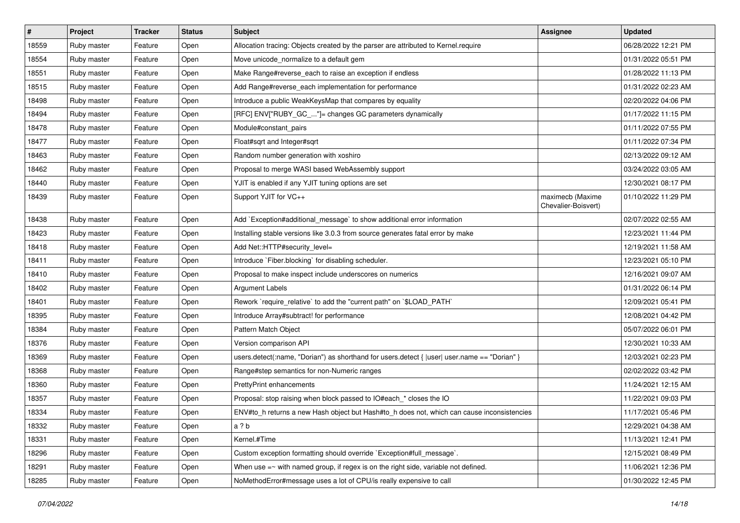| #     | Project     | <b>Tracker</b> | <b>Status</b> | Subject                                                                                        | Assignee                                | <b>Updated</b>      |
|-------|-------------|----------------|---------------|------------------------------------------------------------------------------------------------|-----------------------------------------|---------------------|
| 18559 | Ruby master | Feature        | Open          | Allocation tracing: Objects created by the parser are attributed to Kernel.require             |                                         | 06/28/2022 12:21 PM |
| 18554 | Ruby master | Feature        | Open          | Move unicode_normalize to a default gem                                                        |                                         | 01/31/2022 05:51 PM |
| 18551 | Ruby master | Feature        | Open          | Make Range#reverse_each to raise an exception if endless                                       |                                         | 01/28/2022 11:13 PM |
| 18515 | Ruby master | Feature        | Open          | Add Range#reverse_each implementation for performance                                          |                                         | 01/31/2022 02:23 AM |
| 18498 | Ruby master | Feature        | Open          | Introduce a public WeakKeysMap that compares by equality                                       |                                         | 02/20/2022 04:06 PM |
| 18494 | Ruby master | Feature        | Open          | [RFC] ENV["RUBY_GC_"]= changes GC parameters dynamically                                       |                                         | 01/17/2022 11:15 PM |
| 18478 | Ruby master | Feature        | Open          | Module#constant_pairs                                                                          |                                         | 01/11/2022 07:55 PM |
| 18477 | Ruby master | Feature        | Open          | Float#sqrt and Integer#sqrt                                                                    |                                         | 01/11/2022 07:34 PM |
| 18463 | Ruby master | Feature        | Open          | Random number generation with xoshiro                                                          |                                         | 02/13/2022 09:12 AM |
| 18462 | Ruby master | Feature        | Open          | Proposal to merge WASI based WebAssembly support                                               |                                         | 03/24/2022 03:05 AM |
| 18440 | Ruby master | Feature        | Open          | YJIT is enabled if any YJIT tuning options are set                                             |                                         | 12/30/2021 08:17 PM |
| 18439 | Ruby master | Feature        | Open          | Support YJIT for VC++                                                                          | maximecb (Maxime<br>Chevalier-Boisvert) | 01/10/2022 11:29 PM |
| 18438 | Ruby master | Feature        | Open          | Add `Exception#additional_message` to show additional error information                        |                                         | 02/07/2022 02:55 AM |
| 18423 | Ruby master | Feature        | Open          | Installing stable versions like 3.0.3 from source generates fatal error by make                |                                         | 12/23/2021 11:44 PM |
| 18418 | Ruby master | Feature        | Open          | Add Net::HTTP#security level=                                                                  |                                         | 12/19/2021 11:58 AM |
| 18411 | Ruby master | Feature        | Open          | Introduce `Fiber.blocking` for disabling scheduler.                                            |                                         | 12/23/2021 05:10 PM |
| 18410 | Ruby master | Feature        | Open          | Proposal to make inspect include underscores on numerics                                       |                                         | 12/16/2021 09:07 AM |
| 18402 | Ruby master | Feature        | Open          | <b>Argument Labels</b>                                                                         |                                         | 01/31/2022 06:14 PM |
| 18401 | Ruby master | Feature        | Open          | Rework `require_relative` to add the "current path" on `\$LOAD_PATH`                           |                                         | 12/09/2021 05:41 PM |
| 18395 | Ruby master | Feature        | Open          | Introduce Array#subtract! for performance                                                      |                                         | 12/08/2021 04:42 PM |
| 18384 | Ruby master | Feature        | Open          | Pattern Match Object                                                                           |                                         | 05/07/2022 06:01 PM |
| 18376 | Ruby master | Feature        | Open          | Version comparison API                                                                         |                                         | 12/30/2021 10:33 AM |
| 18369 | Ruby master | Feature        | Open          | users.detect(:name, "Dorian") as shorthand for users.detect { $ user $ user.name == "Dorian" } |                                         | 12/03/2021 02:23 PM |
| 18368 | Ruby master | Feature        | Open          | Range#step semantics for non-Numeric ranges                                                    |                                         | 02/02/2022 03:42 PM |
| 18360 | Ruby master | Feature        | Open          | <b>PrettyPrint enhancements</b>                                                                |                                         | 11/24/2021 12:15 AM |
| 18357 | Ruby master | Feature        | Open          | Proposal: stop raising when block passed to IO#each_* closes the IO                            |                                         | 11/22/2021 09:03 PM |
| 18334 | Ruby master | Feature        | Open          | ENV#to_h returns a new Hash object but Hash#to_h does not, which can cause inconsistencies     |                                         | 11/17/2021 05:46 PM |
| 18332 | Ruby master | Feature        | Open          | a ? b                                                                                          |                                         | 12/29/2021 04:38 AM |
| 18331 | Ruby master | Feature        | Open          | Kernel.#Time                                                                                   |                                         | 11/13/2021 12:41 PM |
| 18296 | Ruby master | Feature        | Open          | Custom exception formatting should override `Exception#full_message`.                          |                                         | 12/15/2021 08:49 PM |
| 18291 | Ruby master | Feature        | Open          | When use $=\sim$ with named group, if regex is on the right side, variable not defined.        |                                         | 11/06/2021 12:36 PM |
| 18285 | Ruby master | Feature        | Open          | NoMethodError#message uses a lot of CPU/is really expensive to call                            |                                         | 01/30/2022 12:45 PM |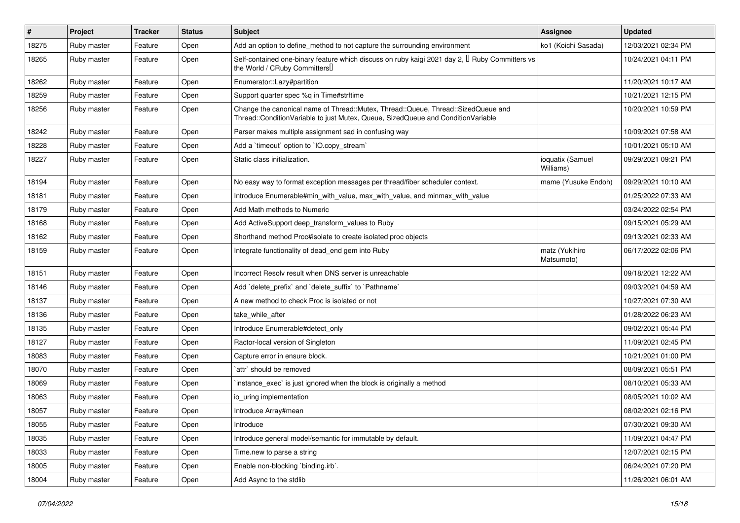| #     | Project     | <b>Tracker</b> | <b>Status</b> | <b>Subject</b>                                                                                                                                                        | <b>Assignee</b>               | <b>Updated</b>      |
|-------|-------------|----------------|---------------|-----------------------------------------------------------------------------------------------------------------------------------------------------------------------|-------------------------------|---------------------|
| 18275 | Ruby master | Feature        | Open          | Add an option to define_method to not capture the surrounding environment                                                                                             | ko1 (Koichi Sasada)           | 12/03/2021 02:34 PM |
| 18265 | Ruby master | Feature        | Open          | Self-contained one-binary feature which discuss on ruby kaigi 2021 day 2, <sup>[]</sup> Ruby Committers vs<br>the World / CRuby Committers                            |                               | 10/24/2021 04:11 PM |
| 18262 | Ruby master | Feature        | Open          | Enumerator::Lazy#partition                                                                                                                                            |                               | 11/20/2021 10:17 AM |
| 18259 | Ruby master | Feature        | Open          | Support quarter spec %q in Time#strftime                                                                                                                              |                               | 10/21/2021 12:15 PM |
| 18256 | Ruby master | Feature        | Open          | Change the canonical name of Thread::Mutex, Thread::Queue, Thread::SizedQueue and<br>Thread::ConditionVariable to just Mutex, Queue, SizedQueue and ConditionVariable |                               | 10/20/2021 10:59 PM |
| 18242 | Ruby master | Feature        | Open          | Parser makes multiple assignment sad in confusing way                                                                                                                 |                               | 10/09/2021 07:58 AM |
| 18228 | Ruby master | Feature        | Open          | Add a 'timeout' option to 'IO.copy_stream'                                                                                                                            |                               | 10/01/2021 05:10 AM |
| 18227 | Ruby master | Feature        | Open          | Static class initialization.                                                                                                                                          | ioquatix (Samuel<br>Williams) | 09/29/2021 09:21 PM |
| 18194 | Ruby master | Feature        | Open          | No easy way to format exception messages per thread/fiber scheduler context.                                                                                          | mame (Yusuke Endoh)           | 09/29/2021 10:10 AM |
| 18181 | Ruby master | Feature        | Open          | Introduce Enumerable#min with value, max with value, and minmax with value                                                                                            |                               | 01/25/2022 07:33 AM |
| 18179 | Ruby master | Feature        | Open          | Add Math methods to Numeric                                                                                                                                           |                               | 03/24/2022 02:54 PM |
| 18168 | Ruby master | Feature        | Open          | Add ActiveSupport deep_transform_values to Ruby                                                                                                                       |                               | 09/15/2021 05:29 AM |
| 18162 | Ruby master | Feature        | Open          | Shorthand method Proc#isolate to create isolated proc objects                                                                                                         |                               | 09/13/2021 02:33 AM |
| 18159 | Ruby master | Feature        | Open          | Integrate functionality of dead_end gem into Ruby                                                                                                                     | matz (Yukihiro<br>Matsumoto)  | 06/17/2022 02:06 PM |
| 18151 | Ruby master | Feature        | Open          | Incorrect Resolv result when DNS server is unreachable                                                                                                                |                               | 09/18/2021 12:22 AM |
| 18146 | Ruby master | Feature        | Open          | Add `delete_prefix` and `delete_suffix` to `Pathname`                                                                                                                 |                               | 09/03/2021 04:59 AM |
| 18137 | Ruby master | Feature        | Open          | A new method to check Proc is isolated or not                                                                                                                         |                               | 10/27/2021 07:30 AM |
| 18136 | Ruby master | Feature        | Open          | take_while_after                                                                                                                                                      |                               | 01/28/2022 06:23 AM |
| 18135 | Ruby master | Feature        | Open          | Introduce Enumerable#detect_only                                                                                                                                      |                               | 09/02/2021 05:44 PM |
| 18127 | Ruby master | Feature        | Open          | Ractor-local version of Singleton                                                                                                                                     |                               | 11/09/2021 02:45 PM |
| 18083 | Ruby master | Feature        | Open          | Capture error in ensure block.                                                                                                                                        |                               | 10/21/2021 01:00 PM |
| 18070 | Ruby master | Feature        | Open          | `attr` should be removed                                                                                                                                              |                               | 08/09/2021 05:51 PM |
| 18069 | Ruby master | Feature        | Open          | instance exec is just ignored when the block is originally a method                                                                                                   |                               | 08/10/2021 05:33 AM |
| 18063 | Ruby master | Feature        | Open          | io_uring implementation                                                                                                                                               |                               | 08/05/2021 10:02 AM |
| 18057 | Ruby master | Feature        | Open          | Introduce Array#mean                                                                                                                                                  |                               | 08/02/2021 02:16 PM |
| 18055 | Ruby master | Feature        | Open          | Introduce                                                                                                                                                             |                               | 07/30/2021 09:30 AM |
| 18035 | Ruby master | Feature        | Open          | Introduce general model/semantic for immutable by default.                                                                                                            |                               | 11/09/2021 04:47 PM |
| 18033 | Ruby master | Feature        | Open          | Time.new to parse a string                                                                                                                                            |                               | 12/07/2021 02:15 PM |
| 18005 | Ruby master | Feature        | Open          | Enable non-blocking `binding.irb`.                                                                                                                                    |                               | 06/24/2021 07:20 PM |
| 18004 | Ruby master | Feature        | Open          | Add Async to the stdlib                                                                                                                                               |                               | 11/26/2021 06:01 AM |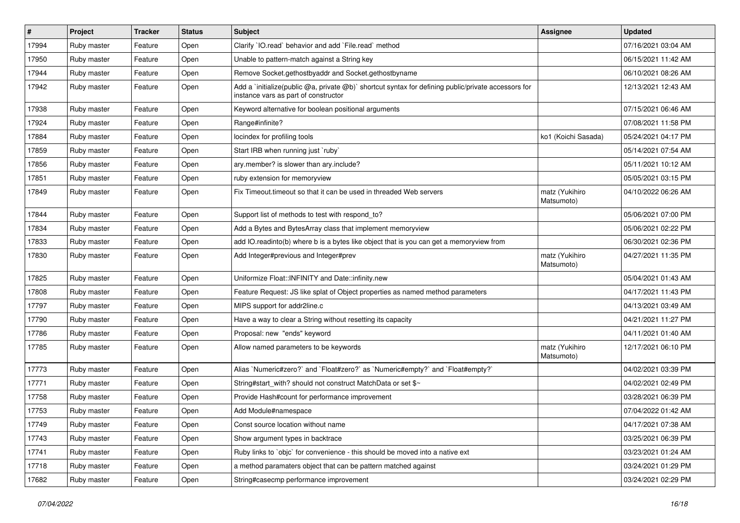| $\sharp$ | Project     | <b>Tracker</b> | <b>Status</b> | Subject                                                                                                                                     | <b>Assignee</b>              | <b>Updated</b>      |
|----------|-------------|----------------|---------------|---------------------------------------------------------------------------------------------------------------------------------------------|------------------------------|---------------------|
| 17994    | Ruby master | Feature        | Open          | Clarify `IO.read` behavior and add `File.read` method                                                                                       |                              | 07/16/2021 03:04 AM |
| 17950    | Ruby master | Feature        | Open          | Unable to pattern-match against a String key                                                                                                |                              | 06/15/2021 11:42 AM |
| 17944    | Ruby master | Feature        | Open          | Remove Socket.gethostbyaddr and Socket.gethostbyname                                                                                        |                              | 06/10/2021 08:26 AM |
| 17942    | Ruby master | Feature        | Open          | Add a `initialize(public @a, private @b)` shortcut syntax for defining public/private accessors for<br>instance vars as part of constructor |                              | 12/13/2021 12:43 AM |
| 17938    | Ruby master | Feature        | Open          | Keyword alternative for boolean positional arguments                                                                                        |                              | 07/15/2021 06:46 AM |
| 17924    | Ruby master | Feature        | Open          | Range#infinite?                                                                                                                             |                              | 07/08/2021 11:58 PM |
| 17884    | Ruby master | Feature        | Open          | locindex for profiling tools                                                                                                                | ko1 (Koichi Sasada)          | 05/24/2021 04:17 PM |
| 17859    | Ruby master | Feature        | Open          | Start IRB when running just `ruby`                                                                                                          |                              | 05/14/2021 07:54 AM |
| 17856    | Ruby master | Feature        | Open          | ary.member? is slower than ary.include?                                                                                                     |                              | 05/11/2021 10:12 AM |
| 17851    | Ruby master | Feature        | Open          | ruby extension for memoryview                                                                                                               |                              | 05/05/2021 03:15 PM |
| 17849    | Ruby master | Feature        | Open          | Fix Timeout timeout so that it can be used in threaded Web servers                                                                          | matz (Yukihiro<br>Matsumoto) | 04/10/2022 06:26 AM |
| 17844    | Ruby master | Feature        | Open          | Support list of methods to test with respond_to?                                                                                            |                              | 05/06/2021 07:00 PM |
| 17834    | Ruby master | Feature        | Open          | Add a Bytes and BytesArray class that implement memoryview                                                                                  |                              | 05/06/2021 02:22 PM |
| 17833    | Ruby master | Feature        | Open          | add IO.readinto(b) where b is a bytes like object that is you can get a memoryview from                                                     |                              | 06/30/2021 02:36 PM |
| 17830    | Ruby master | Feature        | Open          | Add Integer#previous and Integer#prev                                                                                                       | matz (Yukihiro<br>Matsumoto) | 04/27/2021 11:35 PM |
| 17825    | Ruby master | Feature        | Open          | Uniformize Float::INFINITY and Date::infinity.new                                                                                           |                              | 05/04/2021 01:43 AM |
| 17808    | Ruby master | Feature        | Open          | Feature Request: JS like splat of Object properties as named method parameters                                                              |                              | 04/17/2021 11:43 PM |
| 17797    | Ruby master | Feature        | Open          | MIPS support for addr2line.c                                                                                                                |                              | 04/13/2021 03:49 AM |
| 17790    | Ruby master | Feature        | Open          | Have a way to clear a String without resetting its capacity                                                                                 |                              | 04/21/2021 11:27 PM |
| 17786    | Ruby master | Feature        | Open          | Proposal: new "ends" keyword                                                                                                                |                              | 04/11/2021 01:40 AM |
| 17785    | Ruby master | Feature        | Open          | Allow named parameters to be keywords                                                                                                       | matz (Yukihiro<br>Matsumoto) | 12/17/2021 06:10 PM |
| 17773    | Ruby master | Feature        | Open          | Alias `Numeric#zero?` and `Float#zero?` as `Numeric#empty?` and `Float#empty?`                                                              |                              | 04/02/2021 03:39 PM |
| 17771    | Ruby master | Feature        | Open          | String#start with? should not construct MatchData or set \$~                                                                                |                              | 04/02/2021 02:49 PM |
| 17758    | Ruby master | Feature        | Open          | Provide Hash#count for performance improvement                                                                                              |                              | 03/28/2021 06:39 PM |
| 17753    | Ruby master | Feature        | Open          | Add Module#namespace                                                                                                                        |                              | 07/04/2022 01:42 AM |
| 17749    | Ruby master | Feature        | Open          | Const source location without name                                                                                                          |                              | 04/17/2021 07:38 AM |
| 17743    | Ruby master | Feature        | Open          | Show argument types in backtrace                                                                                                            |                              | 03/25/2021 06:39 PM |
| 17741    | Ruby master | Feature        | Open          | Ruby links to `objc` for convenience - this should be moved into a native ext                                                               |                              | 03/23/2021 01:24 AM |
| 17718    | Ruby master | Feature        | Open          | a method paramaters object that can be pattern matched against                                                                              |                              | 03/24/2021 01:29 PM |
| 17682    | Ruby master | Feature        | Open          | String#casecmp performance improvement                                                                                                      |                              | 03/24/2021 02:29 PM |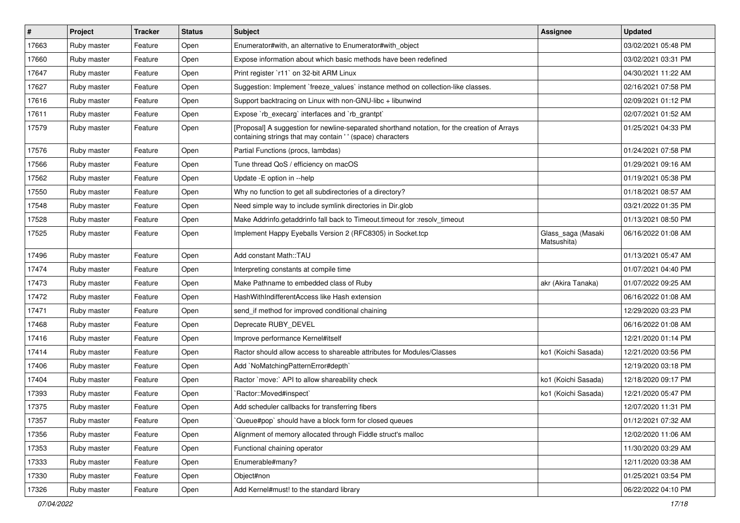| #     | Project     | <b>Tracker</b> | <b>Status</b> | <b>Subject</b>                                                                                                                                            | Assignee                          | <b>Updated</b>      |
|-------|-------------|----------------|---------------|-----------------------------------------------------------------------------------------------------------------------------------------------------------|-----------------------------------|---------------------|
| 17663 | Ruby master | Feature        | Open          | Enumerator#with, an alternative to Enumerator#with object                                                                                                 |                                   | 03/02/2021 05:48 PM |
| 17660 | Ruby master | Feature        | Open          | Expose information about which basic methods have been redefined                                                                                          |                                   | 03/02/2021 03:31 PM |
| 17647 | Ruby master | Feature        | Open          | Print register `r11` on 32-bit ARM Linux                                                                                                                  |                                   | 04/30/2021 11:22 AM |
| 17627 | Ruby master | Feature        | Open          | Suggestion: Implement `freeze_values` instance method on collection-like classes.                                                                         |                                   | 02/16/2021 07:58 PM |
| 17616 | Ruby master | Feature        | Open          | Support backtracing on Linux with non-GNU-libc + libunwind                                                                                                |                                   | 02/09/2021 01:12 PM |
| 17611 | Ruby master | Feature        | Open          | Expose `rb_execarg` interfaces and `rb_grantpt`                                                                                                           |                                   | 02/07/2021 01:52 AM |
| 17579 | Ruby master | Feature        | Open          | [Proposal] A suggestion for newline-separated shorthand notation, for the creation of Arrays<br>containing strings that may contain '' (space) characters |                                   | 01/25/2021 04:33 PM |
| 17576 | Ruby master | Feature        | Open          | Partial Functions (procs, lambdas)                                                                                                                        |                                   | 01/24/2021 07:58 PM |
| 17566 | Ruby master | Feature        | Open          | Tune thread QoS / efficiency on macOS                                                                                                                     |                                   | 01/29/2021 09:16 AM |
| 17562 | Ruby master | Feature        | Open          | Update - E option in --help                                                                                                                               |                                   | 01/19/2021 05:38 PM |
| 17550 | Ruby master | Feature        | Open          | Why no function to get all subdirectories of a directory?                                                                                                 |                                   | 01/18/2021 08:57 AM |
| 17548 | Ruby master | Feature        | Open          | Need simple way to include symlink directories in Dir.glob                                                                                                |                                   | 03/21/2022 01:35 PM |
| 17528 | Ruby master | Feature        | Open          | Make Addrinfo.getaddrinfo fall back to Timeout.timeout for :resolv_timeout                                                                                |                                   | 01/13/2021 08:50 PM |
| 17525 | Ruby master | Feature        | Open          | Implement Happy Eyeballs Version 2 (RFC8305) in Socket.tcp                                                                                                | Glass_saga (Masaki<br>Matsushita) | 06/16/2022 01:08 AM |
| 17496 | Ruby master | Feature        | Open          | Add constant Math::TAU                                                                                                                                    |                                   | 01/13/2021 05:47 AM |
| 17474 | Ruby master | Feature        | Open          | Interpreting constants at compile time                                                                                                                    |                                   | 01/07/2021 04:40 PM |
| 17473 | Ruby master | Feature        | Open          | Make Pathname to embedded class of Ruby                                                                                                                   | akr (Akira Tanaka)                | 01/07/2022 09:25 AM |
| 17472 | Ruby master | Feature        | Open          | HashWithIndifferentAccess like Hash extension                                                                                                             |                                   | 06/16/2022 01:08 AM |
| 17471 | Ruby master | Feature        | Open          | send if method for improved conditional chaining                                                                                                          |                                   | 12/29/2020 03:23 PM |
| 17468 | Ruby master | Feature        | Open          | Deprecate RUBY_DEVEL                                                                                                                                      |                                   | 06/16/2022 01:08 AM |
| 17416 | Ruby master | Feature        | Open          | Improve performance Kernel#itself                                                                                                                         |                                   | 12/21/2020 01:14 PM |
| 17414 | Ruby master | Feature        | Open          | Ractor should allow access to shareable attributes for Modules/Classes                                                                                    | ko1 (Koichi Sasada)               | 12/21/2020 03:56 PM |
| 17406 | Ruby master | Feature        | Open          | Add `NoMatchingPatternError#depth`                                                                                                                        |                                   | 12/19/2020 03:18 PM |
| 17404 | Ruby master | Feature        | Open          | Ractor `move:` API to allow shareability check                                                                                                            | ko1 (Koichi Sasada)               | 12/18/2020 09:17 PM |
| 17393 | Ruby master | Feature        | Open          | `Ractor::Moved#inspect`                                                                                                                                   | ko1 (Koichi Sasada)               | 12/21/2020 05:47 PM |
| 17375 | Ruby master | Feature        | Open          | Add scheduler callbacks for transferring fibers                                                                                                           |                                   | 12/07/2020 11:31 PM |
| 17357 | Ruby master | Feature        | Open          | Queue#pop` should have a block form for closed queues                                                                                                     |                                   | 01/12/2021 07:32 AM |
| 17356 | Ruby master | Feature        | Open          | Alignment of memory allocated through Fiddle struct's malloc                                                                                              |                                   | 12/02/2020 11:06 AM |
| 17353 | Ruby master | Feature        | Open          | Functional chaining operator                                                                                                                              |                                   | 11/30/2020 03:29 AM |
| 17333 | Ruby master | Feature        | Open          | Enumerable#many?                                                                                                                                          |                                   | 12/11/2020 03:38 AM |
| 17330 | Ruby master | Feature        | Open          | Object#non                                                                                                                                                |                                   | 01/25/2021 03:54 PM |
| 17326 | Ruby master | Feature        | Open          | Add Kernel#must! to the standard library                                                                                                                  |                                   | 06/22/2022 04:10 PM |